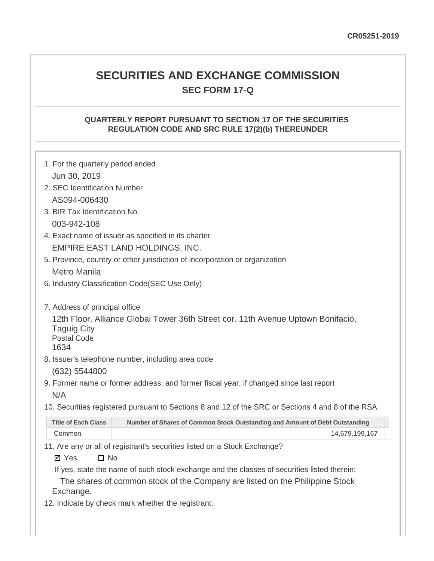# **SECURITIES AND EXCHANGE COMMISSION SEC FORM 17-Q**

# **QUARTERLY REPORT PURSUANT TO SECTION 17 OF THE SECURITIES REGULATION CODE AND SRC RULE 17(2)(b) THEREUNDER**

| 1. For the quarterly period ended                |                                                                                                   |
|--------------------------------------------------|---------------------------------------------------------------------------------------------------|
| Jun 30, 2019                                     |                                                                                                   |
| 2. SEC Identification Number                     |                                                                                                   |
| AS094-006430                                     |                                                                                                   |
| 3. BIR Tax Identification No.                    |                                                                                                   |
| 003-942-108                                      |                                                                                                   |
|                                                  | 4. Exact name of issuer as specified in its charter                                               |
|                                                  | EMPIRE EAST LAND HOLDINGS, INC.                                                                   |
|                                                  | 5. Province, country or other jurisdiction of incorporation or organization                       |
| <b>Metro Manila</b>                              |                                                                                                   |
|                                                  | 6. Industry Classification Code(SEC Use Only)                                                     |
| 7. Address of principal office                   |                                                                                                   |
| <b>Taguig City</b><br><b>Postal Code</b><br>1634 | 12th Floor, Alliance Global Tower 36th Street cor. 11th Avenue Uptown Bonifacio,                  |
|                                                  | 8. Issuer's telephone number, including area code                                                 |
| (632) 5544800                                    |                                                                                                   |
|                                                  | 9. Former name or former address, and former fiscal year, if changed since last report            |
| N/A                                              |                                                                                                   |
|                                                  | 10. Securities registered pursuant to Sections 8 and 12 of the SRC or Sections 4 and 8 of the RSA |
| <b>Title of Each Class</b>                       | Number of Shares of Common Stock Outstanding and Amount of Debt Outstanding                       |
| Common                                           | 14,679,199,167                                                                                    |
|                                                  | 11. Are any or all of registrant's securities listed on a Stock Exchange?                         |
| $\square$ No<br><b>Ø</b> Yes                     |                                                                                                   |
|                                                  | If yes, state the name of such stock exchange and the classes of securities listed therein:       |

The shares of common stock of the Company are listed on the Philippine Stock Exchange.

12. Indicate by check mark whether the registrant: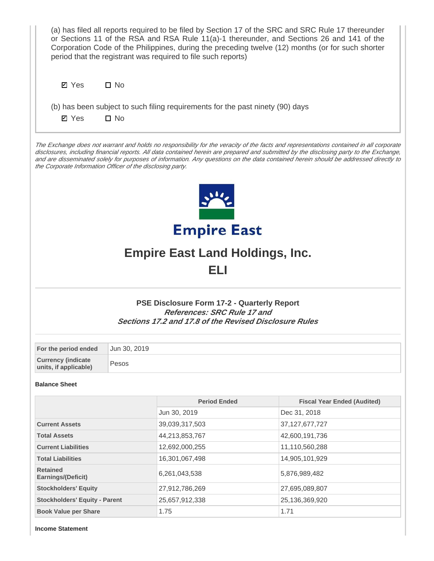| (a) has filed all reports required to be filed by Section 17 of the SRC and SRC Rule 17 thereunder<br>or Sections 11 of the RSA and RSA Rule 11(a)-1 thereunder, and Sections 26 and 141 of the<br>Corporation Code of the Philippines, during the preceding twelve (12) months (or for such shorter<br>period that the registrant was required to file such reports)                                                                                                                  |                                                                     |                                                                                                                                                    |                                    |  |  |  |  |
|----------------------------------------------------------------------------------------------------------------------------------------------------------------------------------------------------------------------------------------------------------------------------------------------------------------------------------------------------------------------------------------------------------------------------------------------------------------------------------------|---------------------------------------------------------------------|----------------------------------------------------------------------------------------------------------------------------------------------------|------------------------------------|--|--|--|--|
| $\square$ No<br><b>Ø</b> Yes                                                                                                                                                                                                                                                                                                                                                                                                                                                           |                                                                     |                                                                                                                                                    |                                    |  |  |  |  |
| (b) has been subject to such filing requirements for the past ninety (90) days<br>$\square$ No<br><b>Ø</b> Yes                                                                                                                                                                                                                                                                                                                                                                         |                                                                     |                                                                                                                                                    |                                    |  |  |  |  |
| The Exchange does not warrant and holds no responsibility for the veracity of the facts and representations contained in all corporate<br>disclosures, including financial reports. All data contained herein are prepared and submitted by the disclosing party to the Exchange,<br>and are disseminated solely for purposes of information. Any questions on the data contained herein should be addressed directly to<br>the Corporate Information Officer of the disclosing party. |                                                                     |                                                                                                                                                    |                                    |  |  |  |  |
|                                                                                                                                                                                                                                                                                                                                                                                                                                                                                        |                                                                     |                                                                                                                                                    |                                    |  |  |  |  |
|                                                                                                                                                                                                                                                                                                                                                                                                                                                                                        | <b>Empire East</b><br><b>Empire East Land Holdings, Inc.</b><br>ELI |                                                                                                                                                    |                                    |  |  |  |  |
|                                                                                                                                                                                                                                                                                                                                                                                                                                                                                        |                                                                     | PSE Disclosure Form 17-2 - Quarterly Report<br><b>References: SRC Rule 17 and</b><br><b>Sections 17.2 and 17.8 of the Revised Disclosure Rules</b> |                                    |  |  |  |  |
| For the period ended                                                                                                                                                                                                                                                                                                                                                                                                                                                                   | Jun 30, 2019                                                        |                                                                                                                                                    |                                    |  |  |  |  |
| <b>Currency (indicate</b><br>units, if applicable)                                                                                                                                                                                                                                                                                                                                                                                                                                     | Pesos                                                               |                                                                                                                                                    |                                    |  |  |  |  |
| <b>Balance Sheet</b>                                                                                                                                                                                                                                                                                                                                                                                                                                                                   |                                                                     |                                                                                                                                                    |                                    |  |  |  |  |
|                                                                                                                                                                                                                                                                                                                                                                                                                                                                                        |                                                                     | <b>Period Ended</b>                                                                                                                                | <b>Fiscal Year Ended (Audited)</b> |  |  |  |  |
|                                                                                                                                                                                                                                                                                                                                                                                                                                                                                        |                                                                     | Jun 30, 2019                                                                                                                                       | Dec 31, 2018                       |  |  |  |  |
| <b>Current Assets</b>                                                                                                                                                                                                                                                                                                                                                                                                                                                                  |                                                                     | 39,039,317,503                                                                                                                                     | 37, 127, 677, 727                  |  |  |  |  |
| <b>Total Assets</b>                                                                                                                                                                                                                                                                                                                                                                                                                                                                    |                                                                     | 44,213,853,767                                                                                                                                     | 42,600,191,736                     |  |  |  |  |
| <b>Current Liabilities</b>                                                                                                                                                                                                                                                                                                                                                                                                                                                             |                                                                     | 12,692,000,255                                                                                                                                     | 11,110,560,288                     |  |  |  |  |
| <b>Total Liabilities</b>                                                                                                                                                                                                                                                                                                                                                                                                                                                               |                                                                     | 16,301,067,498                                                                                                                                     | 14,905,101,929                     |  |  |  |  |
| <b>Retained</b><br>Earnings/(Deficit)                                                                                                                                                                                                                                                                                                                                                                                                                                                  |                                                                     | 6,261,043,538                                                                                                                                      | 5,876,989,482                      |  |  |  |  |
| <b>Stockholders' Equity</b>                                                                                                                                                                                                                                                                                                                                                                                                                                                            |                                                                     | 27,912,786,269                                                                                                                                     | 27,695,089,807                     |  |  |  |  |
| <b>Stockholders' Equity - Parent</b>                                                                                                                                                                                                                                                                                                                                                                                                                                                   |                                                                     | 25,657,912,338                                                                                                                                     | 25,136,369,920                     |  |  |  |  |
| <b>Book Value per Share</b>                                                                                                                                                                                                                                                                                                                                                                                                                                                            |                                                                     | 1.75                                                                                                                                               | 1.71                               |  |  |  |  |

**Income Statement**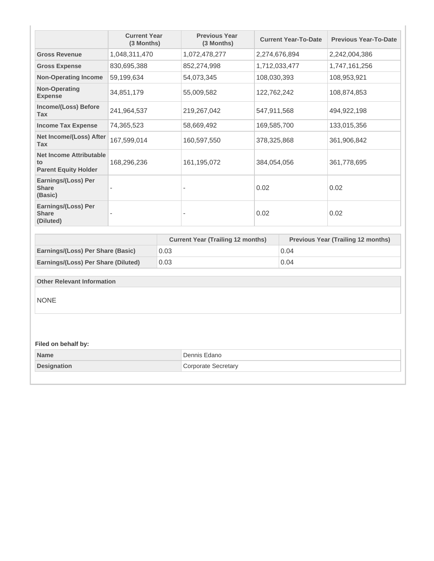|                                                                     | <b>Current Year</b><br>(3 Months) |      | <b>Previous Year</b><br>(3 Months)       | <b>Current Year-To-Date</b> |               | <b>Previous Year-To-Date</b>              |
|---------------------------------------------------------------------|-----------------------------------|------|------------------------------------------|-----------------------------|---------------|-------------------------------------------|
| <b>Gross Revenue</b>                                                | 1,048,311,470                     |      | 1,072,478,277                            |                             | 2,274,676,894 | 2,242,004,386                             |
| <b>Gross Expense</b>                                                | 830,695,388                       |      | 852,274,998                              |                             | 1,712,033,477 | 1,747,161,256                             |
| <b>Non-Operating Income</b>                                         | 59,199,634                        |      | 54,073,345                               | 108,030,393                 |               | 108,953,921                               |
| <b>Non-Operating</b><br><b>Expense</b>                              | 34,851,179                        |      | 55,009,582                               | 122,762,242                 |               | 108,874,853                               |
| <b>Income/(Loss) Before</b><br>Tax                                  | 241,964,537                       |      | 219,267,042                              | 547,911,568                 |               | 494,922,198                               |
| <b>Income Tax Expense</b>                                           | 74,365,523                        |      | 58,669,492                               | 169,585,700                 |               | 133,015,356                               |
| Net Income/(Loss) After<br><b>Tax</b>                               | 167,599,014                       |      | 160,597,550                              | 378,325,868                 |               | 361,906,842                               |
| <b>Net Income Attributable</b><br>to<br><b>Parent Equity Holder</b> | 168,296,236                       |      | 161,195,072                              | 384,054,056                 |               | 361,778,695                               |
| Earnings/(Loss) Per<br><b>Share</b><br>(Basic)                      |                                   |      | $\sim$                                   | 0.02                        |               | 0.02                                      |
| Earnings/(Loss) Per<br><b>Share</b><br>(Diluted)                    |                                   |      | $\overline{\phantom{a}}$                 | 0.02                        |               | 0.02                                      |
|                                                                     |                                   |      | <b>Current Year (Trailing 12 months)</b> |                             |               | <b>Previous Year (Trailing 12 months)</b> |
| Earnings/(Loss) Per Share (Basic)                                   |                                   | 0.03 |                                          |                             | 0.04          |                                           |
| Earnings/(Loss) Per Share (Diluted)                                 |                                   | 0.03 |                                          |                             | 0.04          |                                           |
|                                                                     |                                   |      |                                          |                             |               |                                           |
| <b>Other Relevant Information</b>                                   |                                   |      |                                          |                             |               |                                           |
| <b>NONE</b>                                                         |                                   |      |                                          |                             |               |                                           |
| Filed on behalf by:                                                 |                                   |      |                                          |                             |               |                                           |
| <b>Name</b>                                                         |                                   |      | Dennis Edano                             |                             |               |                                           |
| <b>Designation</b>                                                  |                                   |      | <b>Corporate Secretary</b>               |                             |               |                                           |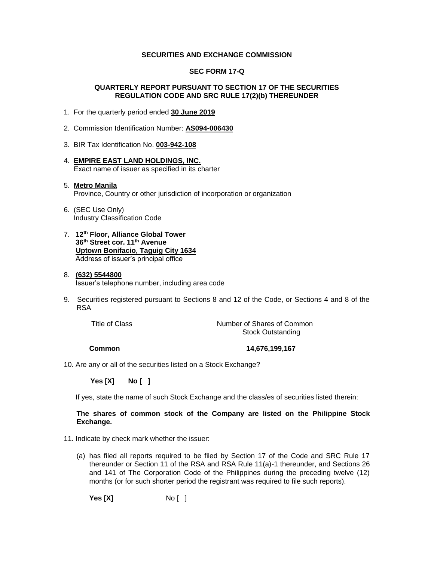#### **SECURITIES AND EXCHANGE COMMISSION**

#### **SEC FORM 17-Q**

#### **QUARTERLY REPORT PURSUANT TO SECTION 17 OF THE SECURITIES REGULATION CODE AND SRC RULE 17(2)(b) THEREUNDER**

- 1. For the quarterly period ended **30 June 2019**
- 2. Commission Identification Number: **AS094-006430**
- 3. BIR Tax Identification No. **003-942-108**
- 4. **EMPIRE EAST LAND HOLDINGS, INC.** Exact name of issuer as specified in its charter

### 5. **Metro Manila** Province, Country or other jurisdiction of incorporation or organization

- 6. (SEC Use Only) Industry Classification Code
- 7. **12th Floor, Alliance Global Tower 36th Street cor. 11th Avenue Uptown Bonifacio, Taguig City 1634** Address of issuer's principal office

#### 8. **(632) 5544800**

Issuer's telephone number, including area code

9. Securities registered pursuant to Sections 8 and 12 of the Code, or Sections 4 and 8 of the RSA

Title of Class Title of Class Common Number of Shares of Common Stock Outstanding

**Common 14,676,199,167** 

10. Are any or all of the securities listed on a Stock Exchange?

 **Yes [X] No [ ]**

If yes, state the name of such Stock Exchange and the class/es of securities listed therein:

#### **The shares of common stock of the Company are listed on the Philippine Stock Exchange.**

- 11. Indicate by check mark whether the issuer:
	- (a) has filed all reports required to be filed by Section 17 of the Code and SRC Rule 17 thereunder or Section 11 of the RSA and RSA Rule 11(a)-1 thereunder, and Sections 26 and 141 of The Corporation Code of the Philippines during the preceding twelve (12) months (or for such shorter period the registrant was required to file such reports).

**Yes [X]** No [ ]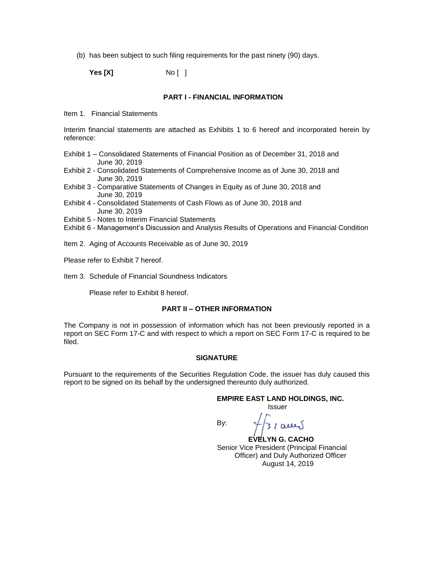(b) has been subject to such filing requirements for the past ninety (90) days.

**Yes [X]** No [ ]

#### **PART I - FINANCIAL INFORMATION**

Item 1. Financial Statements

Interim financial statements are attached as Exhibits 1 to 6 hereof and incorporated herein by reference:

- Exhibit 1 Consolidated Statements of Financial Position as of December 31, 2018 and June 30, 2019
- Exhibit 2 Consolidated Statements of Comprehensive Income as of June 30, 2018 and June 30, 2019
- Exhibit 3 Comparative Statements of Changes in Equity as of June 30, 2018 and June 30, 2019
- Exhibit 4 Consolidated Statements of Cash Flows as of June 30, 2018 and June 30, 2019
- Exhibit 5 Notes to Interim Financial Statements
- Exhibit 6 Management's Discussion and Analysis Results of Operations and Financial Condition
- Item 2. Aging of Accounts Receivable as of June 30, 2019
- Please refer to Exhibit 7 hereof.
- Item 3. Schedule of Financial Soundness Indicators

Please refer to Exhibit 8 hereof.

#### **PART II – OTHER INFORMATION**

The Company is not in possession of information which has not been previously reported in a report on SEC Form 17-C and with respect to which a report on SEC Form 17-C is required to be filed.

#### **SIGNATURE**

Pursuant to the requirements of the Securities Regulation Code, the issuer has duly caused this report to be signed on its behalf by the undersigned thereunto duly authorized.

#### **EMPIRE EAST LAND HOLDINGS, INC.** Issuer

By:

 $31$  acres

 **EVELYN G. CACHO** Senior Vice President (Principal Financial Officer) and Duly Authorized Officer August 14, 2019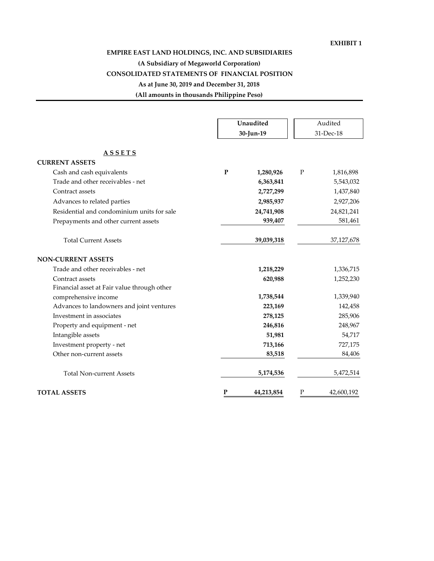### **EXHIBIT 1**

# **EMPIRE EAST LAND HOLDINGS, INC. AND SUBSIDIARIES**

# **(A Subsidiary of Megaworld Corporation)**

# **CONSOLIDATED STATEMENTS OF FINANCIAL POSITION**

# **As at June 30, 2019 and December 31, 2018**

**(All amounts in thousands Philippine Peso)**

|                                             | Unaudited<br>30-Jun-19 | Audited<br>31-Dec-18      |
|---------------------------------------------|------------------------|---------------------------|
|                                             |                        |                           |
| <b>ASSETS</b>                               |                        |                           |
| <b>CURRENT ASSETS</b>                       |                        |                           |
| Cash and cash equivalents                   | ${\bf P}$<br>1,280,926 | P<br>1,816,898            |
| Trade and other receivables - net           | 6,363,841              | 5,543,032                 |
| Contract assets                             | 2,727,299              | 1,437,840                 |
| Advances to related parties                 | 2,985,937              | 2,927,206                 |
| Residential and condominium units for sale  | 24,741,908             | 24,821,241                |
| Prepayments and other current assets        | 939,407                | 581,461                   |
| <b>Total Current Assets</b>                 | 39,039,318             | 37,127,678                |
| <b>NON-CURRENT ASSETS</b>                   |                        |                           |
| Trade and other receivables - net           | 1,218,229              | 1,336,715                 |
| Contract assets                             | 620,988                | 1,252,230                 |
| Financial asset at Fair value through other |                        |                           |
| comprehensive income                        | 1,738,544              | 1,339,940                 |
| Advances to landowners and joint ventures   | 223,169                | 142,458                   |
| Investment in associates                    | 278,125                | 285,906                   |
| Property and equipment - net                | 246,816                | 248,967                   |
| Intangible assets                           | 51,981                 | 54,717                    |
| Investment property - net                   | 713,166                | 727,175                   |
| Other non-current assets                    | 83,518                 | 84,406                    |
| <b>Total Non-current Assets</b>             | 5,174,536              | 5,472,514                 |
| <b>TOTAL ASSETS</b>                         | P<br>44,213,854        | $\mathbf P$<br>42,600,192 |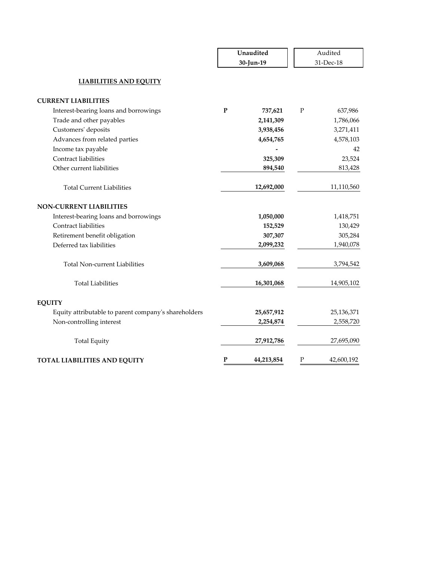|                                                      |              | Unaudited<br>30-Jun-19 | Audited<br>31-Dec-18 |            |  |
|------------------------------------------------------|--------------|------------------------|----------------------|------------|--|
| <b>LIABILITIES AND EQUITY</b>                        |              |                        |                      |            |  |
| <b>CURRENT LIABILITIES</b>                           |              |                        |                      |            |  |
| Interest-bearing loans and borrowings                | ${\bf P}$    | 737,621                | ${\bf P}$            | 637,986    |  |
| Trade and other payables                             |              | 2,141,309              |                      | 1,786,066  |  |
| Customers' deposits                                  |              | 3,938,456              |                      | 3,271,411  |  |
| Advances from related parties                        |              | 4,654,765              |                      | 4,578,103  |  |
| Income tax payable                                   |              |                        |                      | 42         |  |
| Contract liabilities                                 |              | 325,309                |                      | 23,524     |  |
| Other current liabilities                            |              | 894,540                |                      | 813,428    |  |
| <b>Total Current Liabilities</b>                     |              | 12,692,000             |                      | 11,110,560 |  |
| <b>NON-CURRENT LIABILITIES</b>                       |              |                        |                      |            |  |
| Interest-bearing loans and borrowings                |              | 1,050,000              |                      | 1,418,751  |  |
| <b>Contract liabilities</b>                          |              | 152,529                |                      | 130,429    |  |
| Retirement benefit obligation                        |              | 307,307                |                      | 305,284    |  |
| Deferred tax liabilities                             |              | 2,099,232              |                      | 1,940,078  |  |
| <b>Total Non-current Liabilities</b>                 |              | 3,609,068              |                      | 3,794,542  |  |
| <b>Total Liabilities</b>                             |              | 16,301,068             |                      | 14,905,102 |  |
| <b>EQUITY</b>                                        |              |                        |                      |            |  |
| Equity attributable to parent company's shareholders |              | 25,657,912             |                      | 25,136,371 |  |
| Non-controlling interest                             |              | 2,254,874              |                      | 2,558,720  |  |
| <b>Total Equity</b>                                  |              | 27,912,786             |                      | 27,695,090 |  |
| <b>TOTAL LIABILITIES AND EQUITY</b>                  | $\mathbf{P}$ | 44,213,854             | $\mathbf P$          | 42,600,192 |  |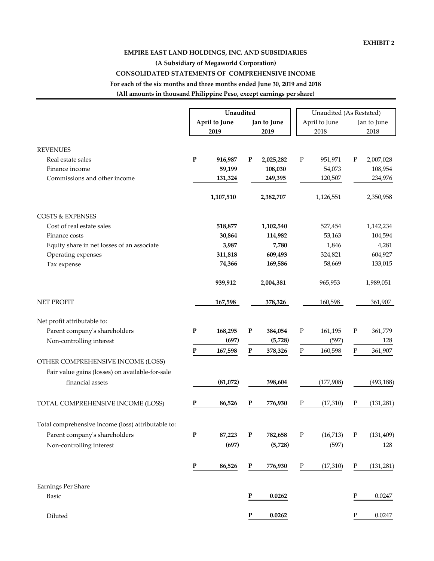# **(All amounts in thousand Philippine Peso, except earnings per share) For each of the six months and three months ended June 30, 2019 and 2018 CONSOLIDATED STATEMENTS OF COMPREHENSIVE INCOME EMPIRE EAST LAND HOLDINGS, INC. AND SUBSIDIARIES (A Subsidiary of Megaworld Corporation)**

**April to June 2019 Jan to June 2019** April to June 2018 Jan to June 2018 REVENUES Real estate sales **P 2,025,282 916,987 P** P 2,007,028 951,971 P Finance income **108,030 59,199** 108,954 54,073 Commissions and other income **131,324 249,395** 120,507 234,976 **1,107,510 2,382,707 1,126,551 2,350,958** COSTS & EXPENSES Cost of real estate sales **518,877 1,102,540** 527,454 **1**,142,234 Finance costs **114,982 30,864** 104,594 53,163 Equity share in net losses of an associate **3,987 7,780 1,846 4,281** Operating expenses **609,493 311,818** 604,927 324,821 Tax expense **74,366 169,586** 133,015 58,669 **939,912 2,004,381 965,953 1,989,051** NET PROFIT **167,598 378,326** 160,598 361,907 Net profit attributable to: Parent company's shareholders **P 384,054 168,295 P** P 361,779 161,195 P Non-controlling interest **(697) (5,728)** 128 (597) **P 167,598 P 378,326 P 160,598 P 361,907** OTHER COMPREHENSIVE INCOME (LOSS) financial assets **398,604 (81,072)** (493,188) (177,908) TOTAL COMPREHENSIVE INCOME (LOSS) **P** 86,526 **P** 776,930 **P** (17,310) **P** (131,281) Total comprehensive income (loss) attributable to: Parent company's shareholders **P 87,223 P 782,658 P** (16,713) **P** (131,409) Non-controlling interest **(5,728) (697)** 128 (597) **P** 86,526 **P** 776,930 **P** (17,310) **P** (131,281) Earnings Per Share Basic **P 0.0262** P 0.0247 Diluted **P 0.0262** P 0.0247 Fair value gains (losses) on available-for-sale Unaudited **Unaudited** Unaudited (As Restated)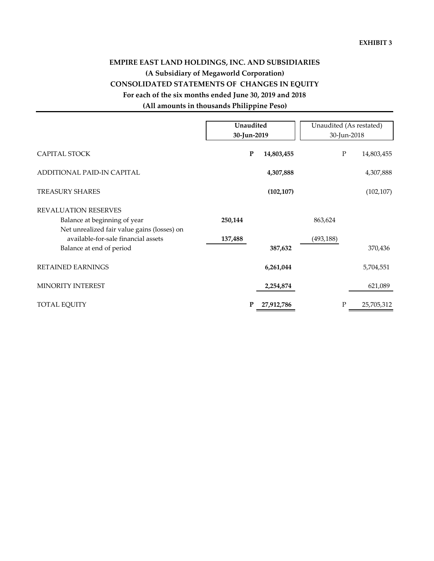# **EMPIRE EAST LAND HOLDINGS, INC. AND SUBSIDIARIES (A Subsidiary of Megaworld Corporation) CONSOLIDATED STATEMENTS OF CHANGES IN EQUITY For each of the six months ended June 30, 2019 and 2018 (All amounts in thousands Philippine Peso)**

|                                                                                                                | Unaudited<br>30-Jun-2019 |            |            | Unaudited (As restated)<br>30-Jun-2018 |
|----------------------------------------------------------------------------------------------------------------|--------------------------|------------|------------|----------------------------------------|
| CAPITAL STOCK                                                                                                  | ${\bf P}$                | 14,803,455 | ${\bf P}$  | 14,803,455                             |
| ADDITIONAL PAID-IN CAPITAL                                                                                     |                          | 4,307,888  |            | 4,307,888                              |
| <b>TREASURY SHARES</b>                                                                                         |                          | (102, 107) |            | (102, 107)                             |
| <b>REVALUATION RESERVES</b><br>Balance at beginning of year                                                    | 250,144                  |            | 863,624    |                                        |
| Net unrealized fair value gains (losses) on<br>available-for-sale financial assets<br>Balance at end of period | 137,488                  | 387,632    | (493, 188) | 370,436                                |
| RETAINED EARNINGS                                                                                              |                          | 6,261,044  |            | 5,704,551                              |
| MINORITY INTEREST                                                                                              |                          | 2,254,874  |            | 621,089                                |
| TOTAL EQUITY                                                                                                   |                          | 27,912,786 | P          | 25,705,312                             |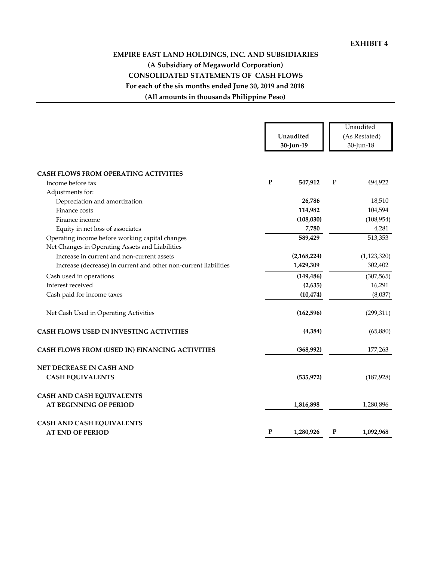# **(All amounts in thousands Philippine Peso) For each of the six months ended June 30, 2019 and 2018 CONSOLIDATED STATEMENTS OF CASH FLOWS EMPIRE EAST LAND HOLDINGS, INC. AND SUBSIDIARIES (A Subsidiary of Megaworld Corporation)**

|                                                                                                    |              | Unaudited<br>30-Jun-19 |             | Unaudited<br>(As Restated)<br>30-Jun-18 |
|----------------------------------------------------------------------------------------------------|--------------|------------------------|-------------|-----------------------------------------|
| <b>CASH FLOWS FROM OPERATING ACTIVITIES</b>                                                        |              |                        |             |                                         |
| Income before tax                                                                                  | $\mathbf{P}$ | 547,912                | $\mathbf P$ | 494,922                                 |
| Adjustments for:                                                                                   |              |                        |             |                                         |
| Depreciation and amortization                                                                      |              | 26,786                 |             | 18,510                                  |
| Finance costs                                                                                      |              | 114,982                |             | 104,594                                 |
| Finance income                                                                                     |              | (108, 030)             |             | (108, 954)                              |
| Equity in net loss of associates                                                                   |              | 7,780                  |             | 4,281                                   |
| Operating income before working capital changes<br>Net Changes in Operating Assets and Liabilities |              | 589,429                |             | 513,353                                 |
| Increase in current and non-current assets                                                         |              | (2, 168, 224)          |             | (1, 123, 320)                           |
| Increase (decrease) in current and other non-current liabilities                                   |              | 1,429,309              |             | 302,402                                 |
| Cash used in operations                                                                            |              | (149, 486)             |             | (307, 565)                              |
| Interest received                                                                                  |              | (2,635)                |             | 16,291                                  |
| Cash paid for income taxes                                                                         |              | (10, 474)              |             | (8,037)                                 |
| Net Cash Used in Operating Activities                                                              |              | (162, 596)             |             | (299, 311)                              |
| CASH FLOWS USED IN INVESTING ACTIVITIES                                                            |              | (4, 384)               |             | (65, 880)                               |
| CASH FLOWS FROM (USED IN) FINANCING ACTIVITIES                                                     |              | (368,992)              |             | 177,263                                 |
| NET DECREASE IN CASH AND                                                                           |              |                        |             |                                         |
| <b>CASH EQUIVALENTS</b>                                                                            |              | (535, 972)             |             | (187, 928)                              |
| <b>CASH AND CASH EQUIVALENTS</b>                                                                   |              |                        |             |                                         |
| <b>AT BEGINNING OF PERIOD</b>                                                                      |              | 1,816,898              |             | 1,280,896                               |
| <b>CASH AND CASH EQUIVALENTS</b>                                                                   |              |                        |             |                                         |
| <b>AT END OF PERIOD</b>                                                                            | $\mathbf{P}$ | 1,280,926              | P           | 1,092,968                               |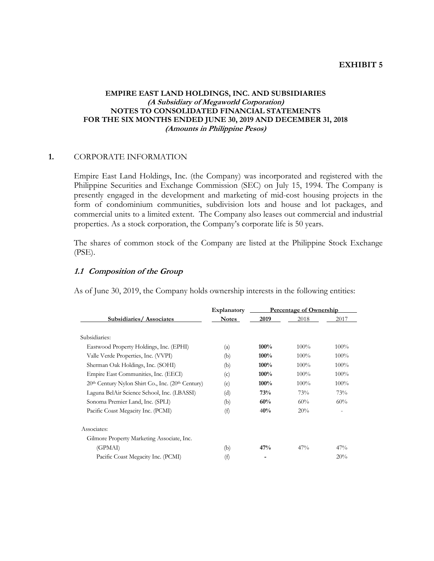### **EXHIBIT 5**

## **EMPIRE EAST LAND HOLDINGS, INC. AND SUBSIDIARIES (A Subsidiary of Megaworld Corporation) NOTES TO CONSOLIDATED FINANCIAL STATEMENTS FOR THE SIX MONTHS ENDED JUNE 30, 2019 AND DECEMBER 31, 2018 (Amounts in Philippine Pesos)**

# **1.** CORPORATE INFORMATION

Empire East Land Holdings, Inc. (the Company) was incorporated and registered with the Philippine Securities and Exchange Commission (SEC) on July 15, 1994. The Company is presently engaged in the development and marketing of mid-cost housing projects in the form of condominium communities, subdivision lots and house and lot packages, and commercial units to a limited extent. The Company also leases out commercial and industrial properties. As a stock corporation, the Company's corporate life is 50 years.

 The shares of common stock of the Company are listed at the Philippine Stock Exchange (PSE).

#### **1.1 Composition of the Group**

As of June 30, 2019, the Company holds ownership interests in the following entities:

|                                                   | Explanatory  | Percentage of Ownership |         |         |  |  |
|---------------------------------------------------|--------------|-------------------------|---------|---------|--|--|
| Subsidiaries/Associates                           | <b>Notes</b> | 2019                    | 2018    | 2017    |  |  |
| Subsidiaries:                                     |              |                         |         |         |  |  |
| Eastwood Property Holdings, Inc. (EPHI)           | (a)          | 100%                    | $100\%$ | 100%    |  |  |
| Valle Verde Properties, Inc. (VVPI)               | (b)          | 100%                    | 100%    | $100\%$ |  |  |
| Sherman Oak Holdings, Inc. (SOHI)                 | (b)          | 100%                    | $100\%$ | 100%    |  |  |
| Empire East Communities, Inc. (EECI)              | (c)          | 100%                    | 100%    | $100\%$ |  |  |
| 20th Century Nylon Shirt Co., Inc. (20th Century) | (e)          | 100%                    | $100\%$ | 100%    |  |  |
| Laguna BelAir Science School, Inc. (LBASSI)       | (d)          | 73%                     | 73%     | 73%     |  |  |
| Sonoma Premier Land, Inc. (SPLI)                  | (b)          | 60%                     | 60%     | 60%     |  |  |
| Pacific Coast Megacity Inc. (PCMI)                | (f)          | 40%                     | 20%     |         |  |  |
| Associates:                                       |              |                         |         |         |  |  |
| Gilmore Property Marketing Associate, Inc.        |              |                         |         |         |  |  |
| (GPMAI)                                           | (b)          | 47%                     | 47%     | 47%     |  |  |
| Pacific Coast Megacity Inc. (PCMI)                | (f)          |                         |         | 20%     |  |  |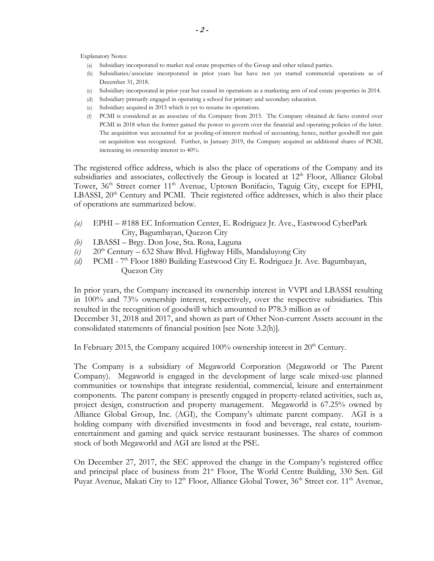Explanatory Notes:

- (a) Subsidiary incorporated to market real estate properties of the Group and other related parties.
- (b) Subsidiaries/associate incorporated in prior years but have not yet started commercial operations as of December 31, 2018.
- (c) Subsidiary incorporated in prior year but ceased its operations as a marketing arm of real estate properties in 2014.
- (d) Subsidiary primarily engaged in operating a school for primary and secondary education.
- (e) Subsidiary acquired in 2015 which is yet to resume its operations.
- (f) PCMI is considered as an associate of the Company from 2015. The Company obtained de facto control over PCMI in 2018 when the former gained the power to govern over the financial and operating policies of the latter. The acquisition was accounted for as pooling-of-interest method of accounting; hence, neither goodwill nor gain on acquisition was recognized. Further, in January 2019, the Company acquired an additional shares of PCMI, increasing its ownership interest to 40%.

The registered office address, which is also the place of operations of the Company and its subsidiaries and associates, collectively the Group is located at  $12<sup>th</sup>$  Floor, Alliance Global Tower, 36<sup>th</sup> Street corner 11<sup>th</sup> Avenue, Uptown Bonifacio, Taguig City, except for EPHI, LBASSI, 20<sup>th</sup> Century and PCMI. Their registered office addresses, which is also their place of operations are summarized below.

- *(a)* EPHI #188 EC Information Center, E. Rodriguez Jr. Ave., Eastwood CyberPark City, Bagumbayan, Quezon City
- *(b)* LBASSI Brgy. Don Jose, Sta. Rosa, Laguna
- $(c)$  20<sup>th</sup> Century 632 Shaw Blvd. Highway Hills, Mandaluyong City
- *(d)* PCMI 7th Floor 1880 Building Eastwood City E. Rodriguez Jr. Ave. Bagumbayan, Quezon City

In prior years, the Company increased its ownership interest in VVPI and LBASSI resulting in 100% and 73% ownership interest, respectively, over the respective subsidiaries. This resulted in the recognition of goodwill which amounted to P78.3 million as of December 31, 2018 and 2017, and shown as part of Other Non-current Assets account in the consolidated statements of financial position [see Note 3.2(h)].

In February 2015, the Company acquired  $100\%$  ownership interest in  $20<sup>th</sup>$  Century.

The Company is a subsidiary of Megaworld Corporation (Megaworld or The Parent Company). Megaworld is engaged in the development of large scale mixed-use planned communities or townships that integrate residential, commercial, leisure and entertainment components. The parent company is presently engaged in property-related activities, such as, project design, construction and property management. Megaworld is 67.25% owned by Alliance Global Group, Inc. (AGI), the Company's ultimate parent company. AGI is a holding company with diversified investments in food and beverage, real estate, tourismentertainment and gaming and quick service restaurant businesses. The shares of common stock of both Megaworld and AGI are listed at the PSE.

On December 27, 2017, the SEC approved the change in the Company's registered office and principal place of business from 21<sup>st</sup> Floor, The World Centre Building, 330 Sen. Gil Puyat Avenue, Makati City to 12<sup>th</sup> Floor, Alliance Global Tower, 36<sup>th</sup> Street cor. 11<sup>th</sup> Avenue,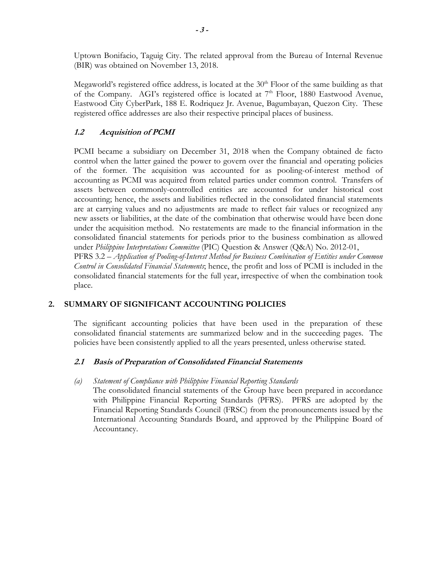Uptown Bonifacio, Taguig City. The related approval from the Bureau of Internal Revenue (BIR) was obtained on November 13, 2018.

Megaworld's registered office address, is located at the  $30<sup>th</sup>$  Floor of the same building as that of the Company. AGI's registered office is located at  $7<sup>th</sup>$  Floor, 1880 Eastwood Avenue, Eastwood City CyberPark, 188 E. Rodriquez Jr. Avenue, Bagumbayan, Quezon City. These registered office addresses are also their respective principal places of business.

# **1.2 Acquisition of PCMI**

PCMI became a subsidiary on December 31, 2018 when the Company obtained de facto control when the latter gained the power to govern over the financial and operating policies of the former. The acquisition was accounted for as pooling-of-interest method of accounting as PCMI was acquired from related parties under common control. Transfers of assets between commonly-controlled entities are accounted for under historical cost accounting; hence, the assets and liabilities reflected in the consolidated financial statements are at carrying values and no adjustments are made to reflect fair values or recognized any new assets or liabilities, at the date of the combination that otherwise would have been done under the acquisition method. No restatements are made to the financial information in the consolidated financial statements for periods prior to the business combination as allowed under *Philippine Interpretations Committee* (PIC) Question & Answer (Q&A) No. 2012-01,

PFRS 3.2 – *Application of Pooling-of-Interest Method for Business Combination of Entities under Common Control in Consolidated Financial Statements*; hence, the profit and loss of PCMI is included in the consolidated financial statements for the full year, irrespective of when the combination took place.

# **2. SUMMARY OF SIGNIFICANT ACCOUNTING POLICIES**

The significant accounting policies that have been used in the preparation of these consolidated financial statements are summarized below and in the succeeding pages. The policies have been consistently applied to all the years presented, unless otherwise stated.

# **2.1 Basis of Preparation of Consolidated Financial Statements**

# *(a) Statement of Compliance with Philippine Financial Reporting Standards*

The consolidated financial statements of the Group have been prepared in accordance with Philippine Financial Reporting Standards (PFRS). PFRS are adopted by the Financial Reporting Standards Council (FRSC) from the pronouncements issued by the International Accounting Standards Board, and approved by the Philippine Board of Accountancy.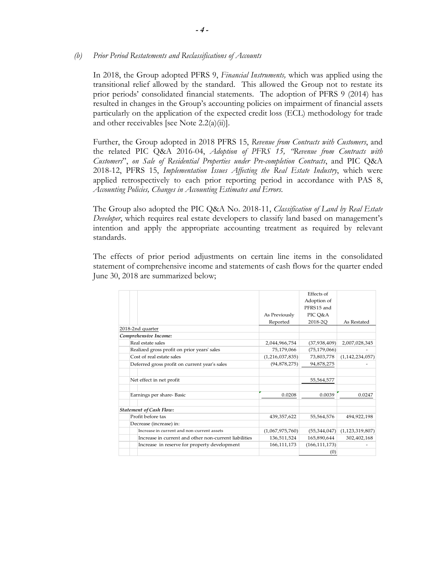### *(b) Prior Period Restatements and Reclassifications of Accounts*

In 2018, the Group adopted PFRS 9, *Financial Instruments,* which was applied using the transitional relief allowed by the standard. This allowed the Group not to restate its prior periods' consolidated financial statements. The adoption of PFRS 9 (2014) has resulted in changes in the Group's accounting policies on impairment of financial assets particularly on the application of the expected credit loss (ECL) methodology for trade and other receivables [see Note  $2.2(a)(ii)$ ].

Further, the Group adopted in 2018 PFRS 15, *Revenue from Contracts with Customers*, and the related PIC Q&A 2016-04, *Adoption of PFRS 15, "Revenue from Contracts with Customers*", *on Sale of Residential Properties under Pre-completion Contracts*, and PIC Q&A 2018-12, PFRS 15, *Implementation Issues Affecting the Real Estate Industry*, which were applied retrospectively to each prior reporting period in accordance with PAS 8, *Accounting Policies, Changes in Accounting Estimates and Errors*.

The Group also adopted the PIC Q&A No. 2018-11, *Classification of Land by Real Estate Developer*, which requires real estate developers to classify land based on management's intention and apply the appropriate accounting treatment as required by relevant standards.

The effects of prior period adjustments on certain line items in the consolidated statement of comprehensive income and statements of cash flows for the quarter ended June 30, 2018 are summarized below;

|                                                       |                 | Effects of      |                    |
|-------------------------------------------------------|-----------------|-----------------|--------------------|
|                                                       |                 | Adoption of     |                    |
|                                                       |                 | PFRS15 and      |                    |
|                                                       | As Previously   | PIC Q&A         |                    |
|                                                       | Reported        | 2018-2O         | As Restated        |
| 2018-2nd quarter                                      |                 |                 |                    |
| Comprehensive Income:                                 |                 |                 |                    |
| Real estate sales                                     | 2,044,966,754   | (37,938,409)    | 2,007,028,345      |
| Realized gross profit on prior years' sales           | 75,179,066      | (75, 179, 066)  |                    |
| Cost of real estate sales                             | (1,216,037,835) | 73,803,778      | (1, 142, 234, 057) |
| Deferred gross profit on current year's sales         | (94, 878, 275)  | 94,878,275      |                    |
| Net effect in net profit                              |                 | 55,564,577      |                    |
| Earnings per share-Basic                              | 0.0208          | 0.0039          | 0.0247             |
| <b>Statement of Cash Flow:</b>                        |                 |                 |                    |
| Profit before tax                                     | 439,357,622     | 55,564,576      | 494,922,198        |
| Decrease (increase) in:                               |                 |                 |                    |
| Increase in current and non-current assets            | (1,067,975,760) | (55,344,047)    | (1, 123, 319, 807) |
| Increase in current and other non-current liabilities | 136,511,524     | 165,890,644     | 302,402,168        |
| Increase in reserve for property development          | 166,111,173     | (166, 111, 173) |                    |
|                                                       |                 | (0)             |                    |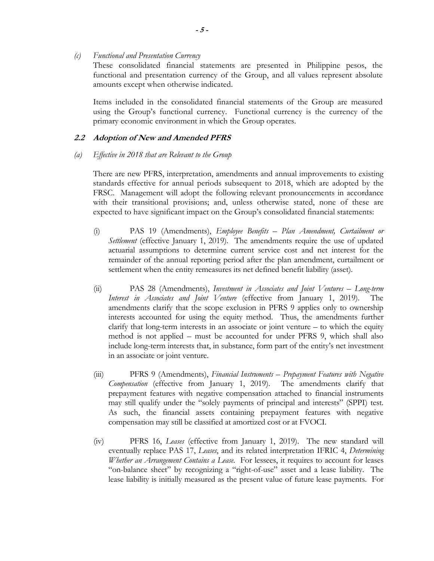*(c) Functional and Presentation Currency* 

These consolidated financial statements are presented in Philippine pesos, the functional and presentation currency of the Group, and all values represent absolute amounts except when otherwise indicated.

Items included in the consolidated financial statements of the Group are measured using the Group's functional currency. Functional currency is the currency of the primary economic environment in which the Group operates.

### **2.2 Adoption of New and Amended PFRS**

#### *(a) Effective in 2018 that are Relevant to the Group*

There are new PFRS, interpretation, amendments and annual improvements to existing standards effective for annual periods subsequent to 2018, which are adopted by the FRSC. Management will adopt the following relevant pronouncements in accordance with their transitional provisions; and, unless otherwise stated, none of these are expected to have significant impact on the Group's consolidated financial statements:

- (i) PAS 19 (Amendments), *Employee Benefits Plan Amendment, Curtailment or Settlement* (effective January 1, 2019). The amendments require the use of updated actuarial assumptions to determine current service cost and net interest for the remainder of the annual reporting period after the plan amendment, curtailment or settlement when the entity remeasures its net defined benefit liability (asset).
- (ii) PAS 28 (Amendments), *Investment in Associates and Joint Ventures Long-term Interest in Associates and Joint Venture* (effective from January 1, 2019). The amendments clarify that the scope exclusion in PFRS 9 applies only to ownership interests accounted for using the equity method. Thus, the amendments further clarify that long-term interests in an associate or joint venture – to which the equity method is not applied – must be accounted for under PFRS 9, which shall also include long-term interests that, in substance, form part of the entity's net investment in an associate or joint venture.
- (iii) PFRS 9 (Amendments), *Financial Instruments Prepayment Features with Negative Compensation* (effective from January 1, 2019). The amendments clarify that prepayment features with negative compensation attached to financial instruments may still qualify under the "solely payments of principal and interests" (SPPI) test. As such, the financial assets containing prepayment features with negative compensation may still be classified at amortized cost or at FVOCI.
- (iv) PFRS 16, *Leases* (effective from January 1, 2019). The new standard will eventually replace PAS 17, *Leases*, and its related interpretation IFRIC 4, *Determining Whether an Arrangement Contains a Lease*. For lessees, it requires to account for leases "on-balance sheet" by recognizing a "right-of-use" asset and a lease liability. The lease liability is initially measured as the present value of future lease payments. For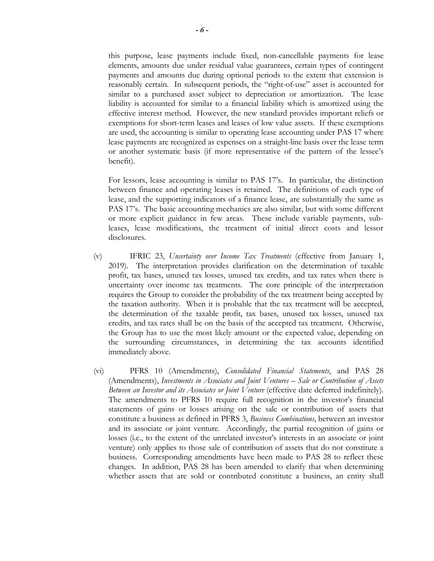this purpose, lease payments include fixed, non-cancellable payments for lease elements, amounts due under residual value guarantees, certain types of contingent payments and amounts due during optional periods to the extent that extension is reasonably certain. In subsequent periods, the "right-of-use" asset is accounted for similar to a purchased asset subject to depreciation or amortization. The lease liability is accounted for similar to a financial liability which is amortized using the effective interest method. However, the new standard provides important reliefs or exemptions for short-term leases and leases of low value assets. If these exemptions are used, the accounting is similar to operating lease accounting under PAS 17 where lease payments are recognized as expenses on a straight-line basis over the lease term or another systematic basis (if more representative of the pattern of the lessee's benefit).

For lessors, lease accounting is similar to PAS 17's. In particular, the distinction between finance and operating leases is retained. The definitions of each type of lease, and the supporting indicators of a finance lease, are substantially the same as PAS 17's. The basic accounting mechanics are also similar, but with some different or more explicit guidance in few areas. These include variable payments, subleases, lease modifications, the treatment of initial direct costs and lessor disclosures.

- (v) IFRIC 23, *Uncertainty over Income Tax Treatments* (effective from January 1, 2019). The interpretation provides clarification on the determination of taxable profit, tax bases, unused tax losses, unused tax credits, and tax rates when there is uncertainty over income tax treatments. The core principle of the interpretation requires the Group to consider the probability of the tax treatment being accepted by the taxation authority. When it is probable that the tax treatment will be accepted, the determination of the taxable profit, tax bases, unused tax losses, unused tax credits, and tax rates shall be on the basis of the accepted tax treatment. Otherwise, the Group has to use the most likely amount or the expected value, depending on the surrounding circumstances, in determining the tax accounts identified immediately above.
- (vi) PFRS 10 (Amendments), *Consolidated Financial Statements*, and PAS 28 (Amendments), *Investments in Associates and Joint Ventures – Sale or Contribution of Assets Between an Investor and its Associates or Joint Venture* (effective date deferred indefinitely). The amendments to PFRS 10 require full recognition in the investor's financial statements of gains or losses arising on the sale or contribution of assets that constitute a business as defined in PFRS 3, *Business Combinations*, between an investor and its associate or joint venture. Accordingly, the partial recognition of gains or losses (i.e., to the extent of the unrelated investor's interests in an associate or joint venture) only applies to those sale of contribution of assets that do not constitute a business. Corresponding amendments have been made to PAS 28 to reflect these changes. In addition, PAS 28 has been amended to clarify that when determining whether assets that are sold or contributed constitute a business, an entity shall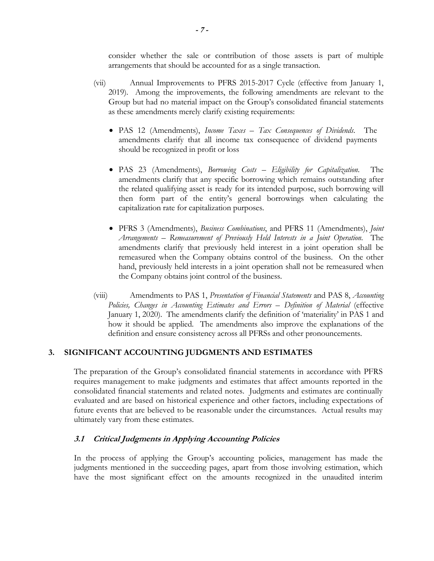consider whether the sale or contribution of those assets is part of multiple arrangements that should be accounted for as a single transaction.

- (vii) Annual Improvements to PFRS 2015-2017 Cycle (effective from January 1, 2019). Among the improvements, the following amendments are relevant to the Group but had no material impact on the Group's consolidated financial statements as these amendments merely clarify existing requirements:
	- PAS 12 (Amendments), *Income Taxes Tax Consequences of Dividends*. The amendments clarify that all income tax consequence of dividend payments should be recognized in profit or loss
	- PAS 23 (Amendments), *Borrowing Costs Eligibility for Capitalization*. The amendments clarify that any specific borrowing which remains outstanding after the related qualifying asset is ready for its intended purpose, such borrowing will then form part of the entity's general borrowings when calculating the capitalization rate for capitalization purposes.
	- PFRS 3 (Amendments), *Business Combinations*, and PFRS 11 (Amendments), *Joint Arrangements – Remeasurement of Previously Held Interests in a Joint Operation*. The amendments clarify that previously held interest in a joint operation shall be remeasured when the Company obtains control of the business. On the other hand, previously held interests in a joint operation shall not be remeasured when the Company obtains joint control of the business.
- (viii) Amendments to PAS 1, *Presentation of Financial Statements* and PAS 8, *Accounting Policies, Changes in Accounting Estimates and Errors – Definition of Material* (effective January 1, 2020). The amendments clarify the definition of 'materiality' in PAS 1 and how it should be applied. The amendments also improve the explanations of the definition and ensure consistency across all PFRSs and other pronouncements.

### **3. SIGNIFICANT ACCOUNTING JUDGMENTS AND ESTIMATES**

The preparation of the Group's consolidated financial statements in accordance with PFRS requires management to make judgments and estimates that affect amounts reported in the consolidated financial statements and related notes. Judgments and estimates are continually evaluated and are based on historical experience and other factors, including expectations of future events that are believed to be reasonable under the circumstances. Actual results may ultimately vary from these estimates.

### **3.1 Critical Judgments in Applying Accounting Policies**

In the process of applying the Group's accounting policies, management has made the judgments mentioned in the succeeding pages, apart from those involving estimation, which have the most significant effect on the amounts recognized in the unaudited interim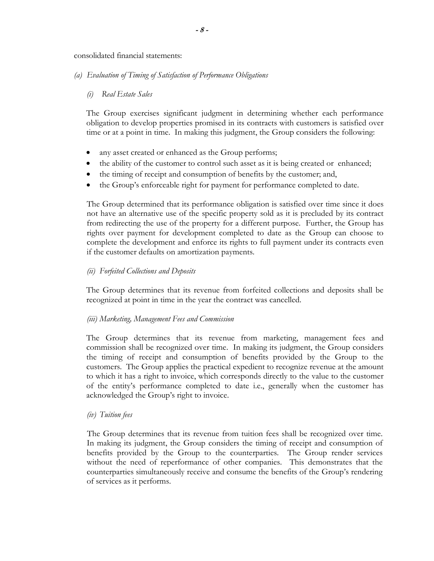consolidated financial statements:

## *(a) Evaluation of Timing of Satisfaction of Performance Obligations*

# *(i) Real Estate Sales*

The Group exercises significant judgment in determining whether each performance obligation to develop properties promised in its contracts with customers is satisfied over time or at a point in time. In making this judgment, the Group considers the following:

- any asset created or enhanced as the Group performs;
- the ability of the customer to control such asset as it is being created or enhanced;
- the timing of receipt and consumption of benefits by the customer; and,
- the Group's enforceable right for payment for performance completed to date.

The Group determined that its performance obligation is satisfied over time since it does not have an alternative use of the specific property sold as it is precluded by its contract from redirecting the use of the property for a different purpose. Further, the Group has rights over payment for development completed to date as the Group can choose to complete the development and enforce its rights to full payment under its contracts even if the customer defaults on amortization payments.

# *(ii) Forfeited Collections and Deposits*

The Group determines that its revenue from forfeited collections and deposits shall be recognized at point in time in the year the contract was cancelled.

### *(iii) Marketing, Management Fees and Commission*

The Group determines that its revenue from marketing, management fees and commission shall be recognized over time. In making its judgment, the Group considers the timing of receipt and consumption of benefits provided by the Group to the customers. The Group applies the practical expedient to recognize revenue at the amount to which it has a right to invoice, which corresponds directly to the value to the customer of the entity's performance completed to date i.e., generally when the customer has acknowledged the Group's right to invoice.

### *(iv) Tuition fees*

The Group determines that its revenue from tuition fees shall be recognized over time. In making its judgment, the Group considers the timing of receipt and consumption of benefits provided by the Group to the counterparties. The Group render services without the need of reperformance of other companies. This demonstrates that the counterparties simultaneously receive and consume the benefits of the Group's rendering of services as it performs.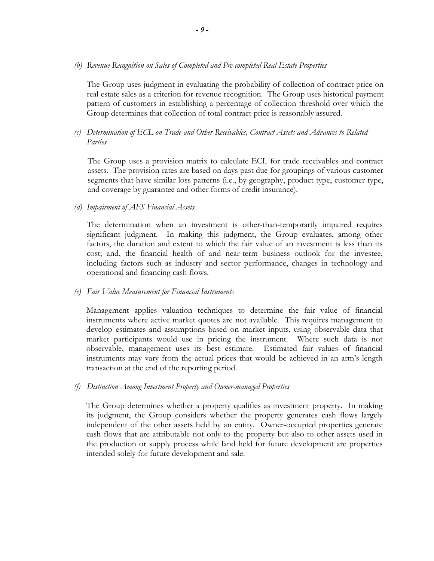*(b) Revenue Recognition on Sales of Completed and Pre-completed Real Estate Properties* 

The Group uses judgment in evaluating the probability of collection of contract price on real estate sales as a criterion for revenue recognition. The Group uses historical payment pattern of customers in establishing a percentage of collection threshold over which the Group determines that collection of total contract price is reasonably assured.

*(c) Determination of ECL on Trade and Other Receivables, Contract Assets and Advances to Related Parties*

The Group uses a provision matrix to calculate ECL for trade receivables and contract assets. The provision rates are based on days past due for groupings of various customer segments that have similar loss patterns (i.e., by geography, product type, customer type, and coverage by guarantee and other forms of credit insurance).

*(d) Impairment of AFS Financial Assets* 

The determination when an investment is other-than-temporarily impaired requires significant judgment. In making this judgment, the Group evaluates, among other factors, the duration and extent to which the fair value of an investment is less than its cost; and, the financial health of and near-term business outlook for the investee, including factors such as industry and sector performance, changes in technology and operational and financing cash flows.

*(e) Fair Value Measurement for Financial Instruments* 

Management applies valuation techniques to determine the fair value of financial instruments where active market quotes are not available. This requires management to develop estimates and assumptions based on market inputs, using observable data that market participants would use in pricing the instrument. Where such data is not observable, management uses its best estimate. Estimated fair values of financial instruments may vary from the actual prices that would be achieved in an arm's length transaction at the end of the reporting period.

*(f) Distinction Among Investment Property and Owner-managed Properties* 

The Group determines whether a property qualifies as investment property. In making its judgment, the Group considers whether the property generates cash flows largely independent of the other assets held by an entity. Owner-occupied properties generate cash flows that are attributable not only to the property but also to other assets used in the production or supply process while land held for future development are properties intended solely for future development and sale.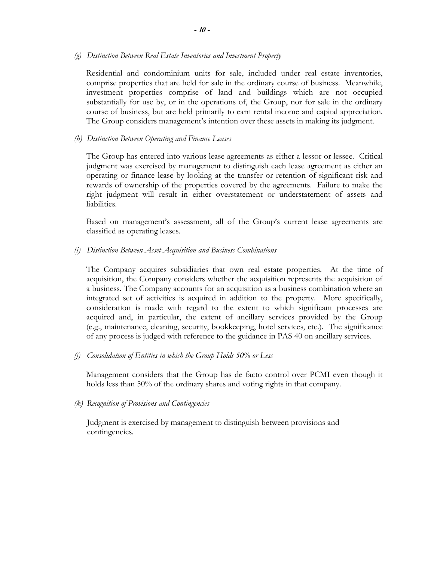*(g) Distinction Between Real Estate Inventories and Investment Property* 

Residential and condominium units for sale, included under real estate inventories, comprise properties that are held for sale in the ordinary course of business. Meanwhile, investment properties comprise of land and buildings which are not occupied substantially for use by, or in the operations of, the Group, nor for sale in the ordinary course of business, but are held primarily to earn rental income and capital appreciation. The Group considers management's intention over these assets in making its judgment.

*(h) Distinction Between Operating and Finance Leases* 

The Group has entered into various lease agreements as either a lessor or lessee. Critical judgment was exercised by management to distinguish each lease agreement as either an operating or finance lease by looking at the transfer or retention of significant risk and rewards of ownership of the properties covered by the agreements. Failure to make the right judgment will result in either overstatement or understatement of assets and liabilities.

Based on management's assessment, all of the Group's current lease agreements are classified as operating leases.

*(i) Distinction Between Asset Acquisition and Business Combinations* 

The Company acquires subsidiaries that own real estate properties. At the time of acquisition, the Company considers whether the acquisition represents the acquisition of a business. The Company accounts for an acquisition as a business combination where an integrated set of activities is acquired in addition to the property. More specifically, consideration is made with regard to the extent to which significant processes are acquired and, in particular, the extent of ancillary services provided by the Group (e.g., maintenance, cleaning, security, bookkeeping, hotel services, etc.). The significance of any process is judged with reference to the guidance in PAS 40 on ancillary services.

*(j) Consolidation of Entities in which the Group Holds 50% or Less* 

Management considers that the Group has de facto control over PCMI even though it holds less than 50% of the ordinary shares and voting rights in that company.

*(k) Recognition of Provisions and Contingencies* 

 Judgment is exercised by management to distinguish between provisions and contingencies.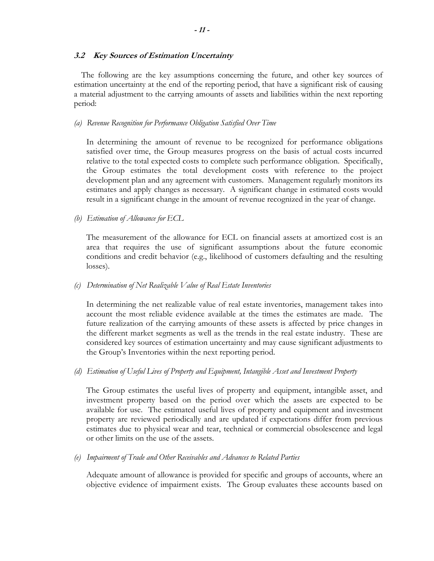## **3.2 Key Sources of Estimation Uncertainty**

 The following are the key assumptions concerning the future, and other key sources of estimation uncertainty at the end of the reporting period, that have a significant risk of causing a material adjustment to the carrying amounts of assets and liabilities within the next reporting period:

## *(a) Revenue Recognition for Performance Obligation Satisfied Over Time*

In determining the amount of revenue to be recognized for performance obligations satisfied over time, the Group measures progress on the basis of actual costs incurred relative to the total expected costs to complete such performance obligation. Specifically, the Group estimates the total development costs with reference to the project development plan and any agreement with customers. Management regularly monitors its estimates and apply changes as necessary. A significant change in estimated costs would result in a significant change in the amount of revenue recognized in the year of change.

*(b) Estimation of Allowance for ECL* 

The measurement of the allowance for ECL on financial assets at amortized cost is an area that requires the use of significant assumptions about the future economic conditions and credit behavior (e.g., likelihood of customers defaulting and the resulting losses).

### *(c) Determination of Net Realizable Value of Real Estate Inventories*

In determining the net realizable value of real estate inventories, management takes into account the most reliable evidence available at the times the estimates are made. The future realization of the carrying amounts of these assets is affected by price changes in the different market segments as well as the trends in the real estate industry. These are considered key sources of estimation uncertainty and may cause significant adjustments to the Group's Inventories within the next reporting period.

*(d) Estimation of Useful Lives of Property and Equipment, Intangible Asset and Investment Property* 

The Group estimates the useful lives of property and equipment, intangible asset, and investment property based on the period over which the assets are expected to be available for use. The estimated useful lives of property and equipment and investment property are reviewed periodically and are updated if expectations differ from previous estimates due to physical wear and tear, technical or commercial obsolescence and legal or other limits on the use of the assets.

*(e) Impairment of Trade and Other Receivables and Advances to Related Parties* 

Adequate amount of allowance is provided for specific and groups of accounts, where an objective evidence of impairment exists. The Group evaluates these accounts based on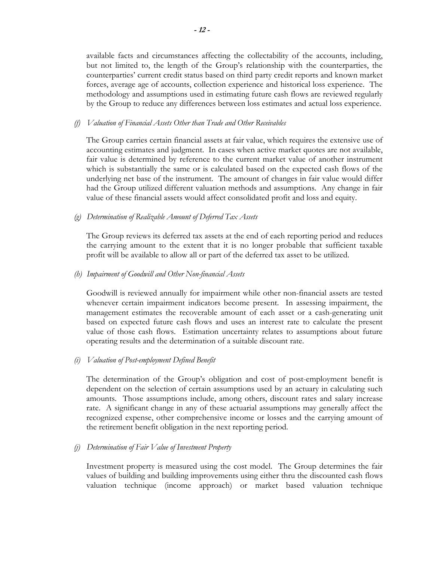available facts and circumstances affecting the collectability of the accounts, including, but not limited to, the length of the Group's relationship with the counterparties, the counterparties' current credit status based on third party credit reports and known market forces, average age of accounts, collection experience and historical loss experience. The methodology and assumptions used in estimating future cash flows are reviewed regularly by the Group to reduce any differences between loss estimates and actual loss experience.

## *(f) Valuation of Financial Assets Other than Trade and Other Receivables*

The Group carries certain financial assets at fair value, which requires the extensive use of accounting estimates and judgment. In cases when active market quotes are not available, fair value is determined by reference to the current market value of another instrument which is substantially the same or is calculated based on the expected cash flows of the underlying net base of the instrument. The amount of changes in fair value would differ had the Group utilized different valuation methods and assumptions. Any change in fair value of these financial assets would affect consolidated profit and loss and equity.

# *(g) Determination of Realizable Amount of Deferred Tax Assets*

The Group reviews its deferred tax assets at the end of each reporting period and reduces the carrying amount to the extent that it is no longer probable that sufficient taxable profit will be available to allow all or part of the deferred tax asset to be utilized.

# *(h) Impairment of Goodwill and Other Non-financial Assets*

Goodwill is reviewed annually for impairment while other non-financial assets are tested whenever certain impairment indicators become present. In assessing impairment, the management estimates the recoverable amount of each asset or a cash-generating unit based on expected future cash flows and uses an interest rate to calculate the present value of those cash flows. Estimation uncertainty relates to assumptions about future operating results and the determination of a suitable discount rate.

# *(i) Valuation of Post-employment Defined Benefit*

The determination of the Group's obligation and cost of post-employment benefit is dependent on the selection of certain assumptions used by an actuary in calculating such amounts. Those assumptions include, among others, discount rates and salary increase rate. A significant change in any of these actuarial assumptions may generally affect the recognized expense, other comprehensive income or losses and the carrying amount of the retirement benefit obligation in the next reporting period.

### *(j) Determination of Fair Value of Investment Property*

Investment property is measured using the cost model. The Group determines the fair values of building and building improvements using either thru the discounted cash flows valuation technique (income approach) or market based valuation technique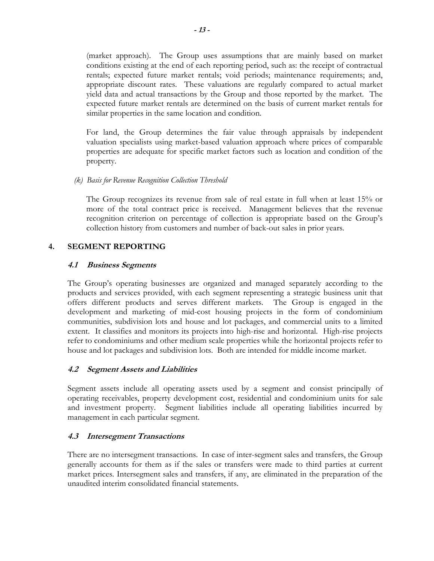(market approach). The Group uses assumptions that are mainly based on market conditions existing at the end of each reporting period, such as: the receipt of contractual rentals; expected future market rentals; void periods; maintenance requirements; and, appropriate discount rates. These valuations are regularly compared to actual market yield data and actual transactions by the Group and those reported by the market. The expected future market rentals are determined on the basis of current market rentals for similar properties in the same location and condition.

For land, the Group determines the fair value through appraisals by independent valuation specialists using market-based valuation approach where prices of comparable properties are adequate for specific market factors such as location and condition of the property.

# *(k) Basis for Revenue Recognition Collection Threshold*

The Group recognizes its revenue from sale of real estate in full when at least 15% or more of the total contract price is received. Management believes that the revenue recognition criterion on percentage of collection is appropriate based on the Group's collection history from customers and number of back-out sales in prior years.

# **4. SEGMENT REPORTING**

# **4.1 Business Segments**

The Group's operating businesses are organized and managed separately according to the products and services provided, with each segment representing a strategic business unit that offers different products and serves different markets. The Group is engaged in the development and marketing of mid-cost housing projects in the form of condominium communities, subdivision lots and house and lot packages, and commercial units to a limited extent. It classifies and monitors its projects into high-rise and horizontal. High-rise projects refer to condominiums and other medium scale properties while the horizontal projects refer to house and lot packages and subdivision lots. Both are intended for middle income market.

# **4.2 Segment Assets and Liabilities**

Segment assets include all operating assets used by a segment and consist principally of operating receivables, property development cost, residential and condominium units for sale and investment property. Segment liabilities include all operating liabilities incurred by management in each particular segment.

# **4.3 Intersegment Transactions**

 There are no intersegment transactions. In case of inter-segment sales and transfers, the Group generally accounts for them as if the sales or transfers were made to third parties at current market prices. Intersegment sales and transfers, if any, are eliminated in the preparation of the unaudited interim consolidated financial statements.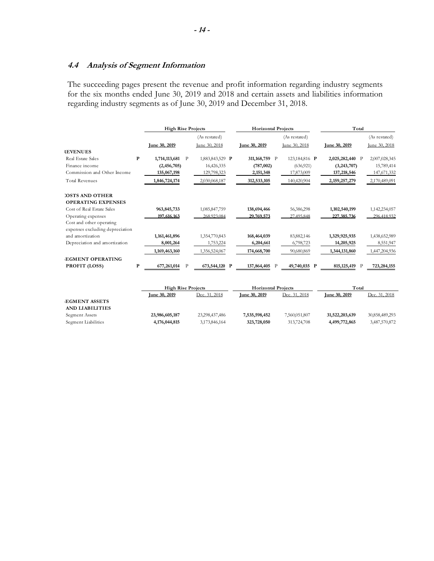# **4.4 Analysis of Segment Information**

**AND LIABILITIES**

 The succeeding pages present the revenue and profit information regarding industry segments for the six months ended June 30, 2019 and 2018 and certain assets and liabilities information regarding industry segments as of June 30, 2019 and December 31, 2018.

|                                 |              | <b>High Rise Projects</b> |              |                 |   | <b>Horizontal Projects</b> |   |               | Total                |   |               |
|---------------------------------|--------------|---------------------------|--------------|-----------------|---|----------------------------|---|---------------|----------------------|---|---------------|
|                                 |              |                           |              | (As restated)   |   |                            |   | (As restated) |                      |   | (As restated) |
|                                 |              | Iune 30, 2019             |              | lune 30, 2018   |   | Iune 30, 2019              |   | lune 30, 2018 | <b>Iune 30, 2019</b> |   | lune 30, 2018 |
| <b>REVENUES</b>                 |              |                           |              |                 |   |                            |   |               |                      |   |               |
| Real Estate Sales               | P            | 1,714,113,681             | P            | 1,883,843,529 P |   | 311,168,759 P              |   | 123,184,816 P | 2,025,282,440 P      |   | 2,007,028,345 |
| Finance income                  |              | (2,456,705)               |              | 16,426,335      |   | (787,002)                  |   | (636,921)     | (3,243,707)          |   | 15,789,414    |
| Commission and Other Income     |              | 135,067,198               |              | 129,798,323     |   | 2,151,348                  |   | 17,873,009    | 137,218,546          |   | 147, 671, 332 |
| <b>Total Revenues</b>           |              | 1,846,724,174             |              | 2,030,068,187   |   | 312,533,105                |   | 140,420,904   | 2, 159, 257, 279     |   | 2,170,489,091 |
| <b>COSTS AND OTHER</b>          |              |                           |              |                 |   |                            |   |               |                      |   |               |
| <b>OPERATING EXPENSES</b>       |              |                           |              |                 |   |                            |   |               |                      |   |               |
| Cost of Real Estate Sales       |              | 963, 845, 733             |              | 1,085,847,759   |   | 138,694,466                |   | 56,386,298    | 1,102,540,199        |   | 1,142,234,057 |
| Operating expenses              |              | 197,616,163               |              | 268,923,084     |   | 29,769,573                 |   | 27.495.848    | 227,385,736          |   | 296,418,932   |
| Cost and other operating        |              |                           |              |                 |   |                            |   |               |                      |   |               |
| expenses excluding depreciation |              |                           |              |                 |   |                            |   |               |                      |   |               |
| and amortization                |              | 1,161,461,896             |              | 1,354,770,843   |   | 168,464,039                |   | 83,882,146    | 1,329,925,935        |   | 1,438,652,989 |
| Depreciation and amortization   |              | 8,001,264                 |              | 1,753,224       |   | 6,204,661                  |   | 6,798,723     | 14,205,925           |   | 8,551,947     |
|                                 |              | 1,169,463,160             |              | 1,356,524,067   |   | 174,668,700                |   | 90,680,869    | 1,344,131,860        |   | 1,447,204,936 |
| <b>EGMENT OPERATING</b>         |              |                           |              |                 |   |                            |   |               |                      |   |               |
| PROFIT (LOSS)                   | $\mathbf{P}$ | 677,261,014               | $\mathbf{P}$ | 673,544,120     | P | 137,864,405                | P | 49,740,035 P  | 815, 125, 419        | P | 723,284,155   |
|                                 |              |                           |              |                 |   |                            |   |               |                      |   |               |
|                                 |              | <b>High Rise Projects</b> |              |                 |   | <b>Horizontal Projects</b> |   |               | Total                |   |               |
|                                 |              | Iune 30, 2019             |              | Dec. 31, 2018   |   | Iune 30, 2019              |   | Dec. 31, 2018 | Iune 30, 2019        |   | Dec. 31, 2018 |
| <b>EGMENT ASSETS</b>            |              |                           |              |                 |   |                            |   |               |                      |   |               |

Segment Assets **23,986,605,187** 23,298,437,486 **7,535,598,452** 7,560,051,807 **31,522,203,639** 30,858,489,293 Segment Liabilities **4,176,044,815** 3,173,846,164 **323,728,050** 313,724,708 **4,499,772,865** 3,487,570,872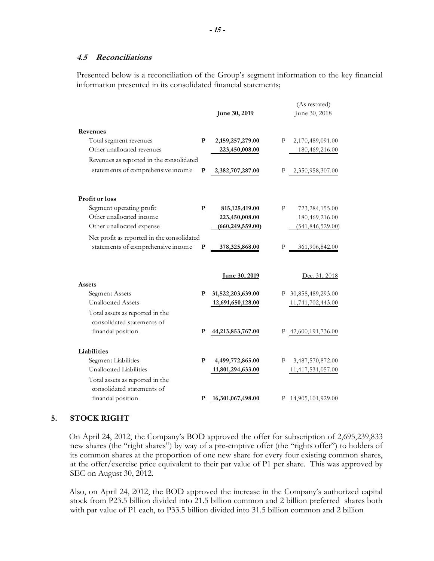#### **4.5 Reconciliations**

Presented below is a reconciliation of the Group's segment information to the key financial information presented in its consolidated financial statements;

|                                                                                     |              | <u>Iune 30, 2019</u> |   | (As restated)<br>June 30, 2018 |
|-------------------------------------------------------------------------------------|--------------|----------------------|---|--------------------------------|
| Revenues                                                                            |              |                      |   |                                |
| Total segment revenues                                                              | P            | 2,159,257,279.00     | Ρ | 2,170,489,091.00               |
| Other unallocated revenues                                                          |              | 223,450,008.00       |   | 180,469,216.00                 |
| Revenues as reported in the consolidated                                            |              |                      |   |                                |
| statements of comprehensive income                                                  | $\mathbf{P}$ | 2,382,707,287.00     | Р | 2,350,958,307.00               |
| Profit or loss                                                                      |              |                      |   |                                |
| Segment operating profit                                                            | P            | 815, 125, 419.00     | P | 723,284,155.00                 |
| Other unallocated income                                                            |              | 223,450,008.00       |   | 180,469,216.00                 |
| Other unallocated expense                                                           |              | (660, 249, 559.00)   |   | (541, 846, 529.00)             |
| Net profit as reported in the consolidated                                          |              |                      |   |                                |
| statements of comprehensive income                                                  | P            | 378,325,868.00       |   | 361,906,842.00                 |
| Assets                                                                              |              | <u>Iune 30, 2019</u> |   | Dec. 31, 2018                  |
| Segment Assets                                                                      | P            | 31,522,203,639.00    |   | P 30,858,489,293.00            |
| <b>Unallocated Assets</b>                                                           |              | 12,691,650,128.00    |   | 11,741,702,443.00              |
| Total assets as reported in the<br>consolidated statements of<br>financial position | P            | 44,213,853,767.00    |   | P 42,600,191,736.00            |
|                                                                                     |              |                      |   |                                |
| Liabilities                                                                         |              |                      |   |                                |
| Segment Liabilities                                                                 | P            | 4,499,772,865.00     | Р | 3,487,570,872.00               |
| Unallocated Liabilities                                                             |              | 11,801,294,633.00    |   | 11,417,531,057.00              |
| Total assets as reported in the<br>consolidated statements of                       |              |                      |   |                                |
| financial position                                                                  | P            | 16,301,067,498.00    | Ρ | 14,905,101,929.00              |

### **5. STOCK RIGHT**

On April 24, 2012, the Company's BOD approved the offer for subscription of 2,695,239,833 new shares (the "right shares") by way of a pre-emptive offer (the "rights offer") to holders of its common shares at the proportion of one new share for every four existing common shares, at the offer/exercise price equivalent to their par value of P1 per share. This was approved by SEC on August 30, 2012.

Also, on April 24, 2012, the BOD approved the increase in the Company's authorized capital stock from P23.5 billion divided into 21.5 billion common and 2 billion preferred shares both with par value of P1 each, to P33.5 billion divided into 31.5 billion common and 2 billion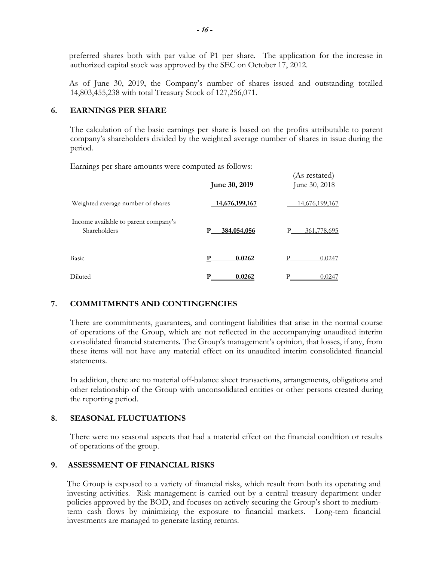preferred shares both with par value of P1 per share. The application for the increase in authorized capital stock was approved by the SEC on October 17, 2012.

As of June 30, 2019, the Company's number of shares issued and outstanding totalled 14,803,455,238 with total Treasury Stock of 127,256,071.

# **6. EARNINGS PER SHARE**

The calculation of the basic earnings per share is based on the profits attributable to parent company's shareholders divided by the weighted average number of shares in issue during the period.

(As restated)

Earnings per share amounts were computed as follows:

|                                                      | <u>Iune 30, 2019</u> | $(110, 100)$ tatou $/$<br><u>June 30, 2018</u> |
|------------------------------------------------------|----------------------|------------------------------------------------|
| Weighted average number of shares                    | 14,676,199,167       | 14,676,199,167                                 |
| Income available to parent company's<br>Shareholders | 384,054,056<br>P     | 361,778,695<br>P                               |
| Basic                                                | 0.0262               | P<br>0.0247                                    |
| Diluted                                              | 0.0262<br>P          | P<br>0.0247                                    |

# **7. COMMITMENTS AND CONTINGENCIES**

There are commitments, guarantees, and contingent liabilities that arise in the normal course of operations of the Group, which are not reflected in the accompanying unaudited interim consolidated financial statements. The Group's management's opinion, that losses, if any, from these items will not have any material effect on its unaudited interim consolidated financial statements.

In addition, there are no material off-balance sheet transactions, arrangements, obligations and other relationship of the Group with unconsolidated entities or other persons created during the reporting period.

# **8. SEASONAL FLUCTUATIONS**

There were no seasonal aspects that had a material effect on the financial condition or results of operations of the group.

# **9. ASSESSMENT OF FINANCIAL RISKS**

The Group is exposed to a variety of financial risks, which result from both its operating and investing activities. Risk management is carried out by a central treasury department under policies approved by the BOD, and focuses on actively securing the Group's short to mediumterm cash flows by minimizing the exposure to financial markets. Long-tern financial investments are managed to generate lasting returns.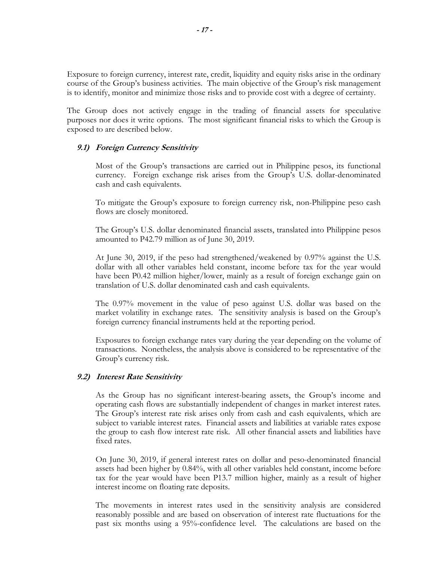Exposure to foreign currency, interest rate, credit, liquidity and equity risks arise in the ordinary course of the Group's business activities. The main objective of the Group's risk management is to identify, monitor and minimize those risks and to provide cost with a degree of certainty.

The Group does not actively engage in the trading of financial assets for speculative purposes nor does it write options. The most significant financial risks to which the Group is exposed to are described below.

### **9.1) Foreign Currency Sensitivity**

Most of the Group's transactions are carried out in Philippine pesos, its functional currency. Foreign exchange risk arises from the Group's U.S. dollar-denominated cash and cash equivalents.

To mitigate the Group's exposure to foreign currency risk, non-Philippine peso cash flows are closely monitored.

The Group's U.S. dollar denominated financial assets, translated into Philippine pesos amounted to P42.79 million as of June 30, 2019.

At June 30, 2019, if the peso had strengthened/weakened by 0.97% against the U.S. dollar with all other variables held constant, income before tax for the year would have been P0.42 million higher/lower, mainly as a result of foreign exchange gain on translation of U.S. dollar denominated cash and cash equivalents.

The 0.97% movement in the value of peso against U.S. dollar was based on the market volatility in exchange rates. The sensitivity analysis is based on the Group's foreign currency financial instruments held at the reporting period.

Exposures to foreign exchange rates vary during the year depending on the volume of transactions. Nonetheless, the analysis above is considered to be representative of the Group's currency risk.

### **9.2) Interest Rate Sensitivity**

As the Group has no significant interest-bearing assets, the Group's income and operating cash flows are substantially independent of changes in market interest rates. The Group's interest rate risk arises only from cash and cash equivalents, which are subject to variable interest rates. Financial assets and liabilities at variable rates expose the group to cash flow interest rate risk. All other financial assets and liabilities have fixed rates.

On June 30, 2019, if general interest rates on dollar and peso-denominated financial assets had been higher by 0.84%, with all other variables held constant, income before tax for the year would have been P13.7 million higher, mainly as a result of higher interest income on floating rate deposits.

The movements in interest rates used in the sensitivity analysis are considered reasonably possible and are based on observation of interest rate fluctuations for the past six months using a 95%-confidence level. The calculations are based on the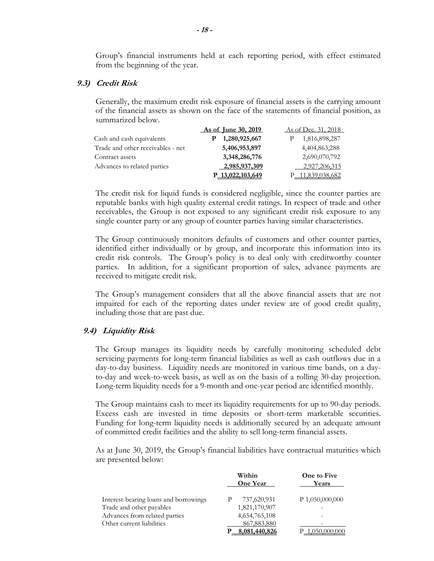Group's financial instruments held at each reporting period, with effect estimated from the beginning of the year.

#### **9.3) Credit Risk**

Generally, the maximum credit risk exposure of financial assets is the carrying amount of the financial assets as shown on the face of the statements of financial position, as summarized below.

|                                   | <b>As of June 30, 2019</b>   | As of Dec. 31, 2018 |
|-----------------------------------|------------------------------|---------------------|
| Cash and cash equivalents         | 1,280,925,667                | 1,816,898,287       |
| Trade and other receivables - net | 5,406,953,897                | 4,404,863,288       |
| Contract assets                   | 3,348,286,776                | 2,690,070,792       |
| Advances to related parties       | 2,985,937,309                | 2,927,206,315       |
|                                   | P <sub>13</sub> ,022,103,649 | 11,839,038,682      |

The credit risk for liquid funds is considered negligible, since the counter parties are reputable banks with high quality external credit ratings. In respect of trade and other receivables, the Group is not exposed to any significant credit risk exposure to any single counter party or any group of counter parties having similar characteristics.

The Group continuously monitors defaults of customers and other counter parties, identified either individually or by group, and incorporate this information into its credit risk controls. The Group's policy is to deal only with creditworthy counter parties. In addition, for a significant proportion of sales, advance payments are received to mitigate credit risk.

The Group's management considers that all the above financial assets that are not impaired for each of the reporting dates under review are of good credit quality, including those that are past due.

#### **9.4) Liquidity Risk**

The Group manages its liquidity needs by carefully monitoring scheduled debt servicing payments for long-term financial liabilities as well as cash outflows due in a day-to-day business. Liquidity needs are monitored in various time bands, on a dayto-day and week-to-week basis, as well as on the basis of a rolling 30-day projection. Long-term liquidity needs for a 9-month and one-year period are identified monthly.

The Group maintains cash to meet its liquidity requirements for up to 90-day periods. Excess cash are invested in time deposits or short-term marketable securities. Funding for long-term liquidity needs is additionally secured by an adequate amount of committed credit facilities and the ability to sell long-term financial assets.

As at June 30, 2019, the Group's financial liabilities have contractual maturities which are presented below:

|                                       | Within<br><b>One Year</b> | One to Five<br>Years |
|---------------------------------------|---------------------------|----------------------|
| Interest-bearing loans and borrowings | 737,620,931               | $P$ 1,050,000,000    |
| Trade and other payables              | 1,821,170,907             |                      |
| Advances from related parties         | 4,654,765,108             |                      |
| Other current liabilities             | 867,883,880               |                      |
|                                       | 8.081.440.826             |                      |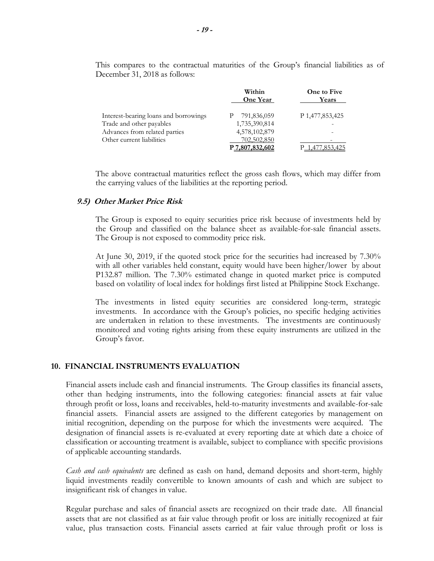This compares to the contractual maturities of the Group's financial liabilities as of December 31, 2018 as follows:

|                                       | Within<br><b>One Year</b> | One to Five<br>Years     |
|---------------------------------------|---------------------------|--------------------------|
| Interest-bearing loans and borrowings | 791,836,059               | P 1,477,853,425          |
| Trade and other payables              | 1,735,390,814             |                          |
| Advances from related parties         | 4,578,102,879             | $\overline{\phantom{a}}$ |
| Other current liabilities             | 702,502,850               |                          |
|                                       | P 7,807,832,602           | '.853.425                |

The above contractual maturities reflect the gross cash flows, which may differ from the carrying values of the liabilities at the reporting period.

#### **9.5) Other Market Price Risk**

The Group is exposed to equity securities price risk because of investments held by the Group and classified on the balance sheet as available-for-sale financial assets. The Group is not exposed to commodity price risk.

At June 30, 2019, if the quoted stock price for the securities had increased by 7.30% with all other variables held constant, equity would have been higher/lower by about P132.87 million. The 7.30% estimated change in quoted market price is computed based on volatility of local index for holdings first listed at Philippine Stock Exchange.

The investments in listed equity securities are considered long-term, strategic investments. In accordance with the Group's policies, no specific hedging activities are undertaken in relation to these investments. The investments are continuously monitored and voting rights arising from these equity instruments are utilized in the Group's favor.

#### **10. FINANCIAL INSTRUMENTS EVALUATION**

Financial assets include cash and financial instruments. The Group classifies its financial assets, other than hedging instruments, into the following categories: financial assets at fair value through profit or loss, loans and receivables, held-to-maturity investments and available-for-sale financial assets. Financial assets are assigned to the different categories by management on initial recognition, depending on the purpose for which the investments were acquired. The designation of financial assets is re-evaluated at every reporting date at which date a choice of classification or accounting treatment is available, subject to compliance with specific provisions of applicable accounting standards.

*Cash and cash equivalents* are defined as cash on hand, demand deposits and short-term, highly liquid investments readily convertible to known amounts of cash and which are subject to insignificant risk of changes in value.

Regular purchase and sales of financial assets are recognized on their trade date. All financial assets that are not classified as at fair value through profit or loss are initially recognized at fair value, plus transaction costs. Financial assets carried at fair value through profit or loss is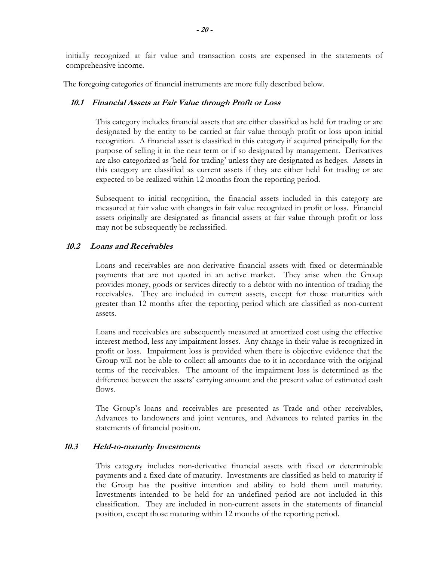initially recognized at fair value and transaction costs are expensed in the statements of comprehensive income.

The foregoing categories of financial instruments are more fully described below.

## **10.1 Financial Assets at Fair Value through Profit or Loss**

 This category includes financial assets that are either classified as held for trading or are designated by the entity to be carried at fair value through profit or loss upon initial recognition. A financial asset is classified in this category if acquired principally for the purpose of selling it in the near term or if so designated by management. Derivatives are also categorized as 'held for trading' unless they are designated as hedges. Assets in this category are classified as current assets if they are either held for trading or are expected to be realized within 12 months from the reporting period.

 Subsequent to initial recognition, the financial assets included in this category are measured at fair value with changes in fair value recognized in profit or loss. Financial assets originally are designated as financial assets at fair value through profit or loss may not be subsequently be reclassified.

# **10.2 Loans and Receivables**

Loans and receivables are non-derivative financial assets with fixed or determinable payments that are not quoted in an active market. They arise when the Group provides money, goods or services directly to a debtor with no intention of trading the receivables. They are included in current assets, except for those maturities with greater than 12 months after the reporting period which are classified as non-current assets.

 Loans and receivables are subsequently measured at amortized cost using the effective interest method, less any impairment losses. Any change in their value is recognized in profit or loss. Impairment loss is provided when there is objective evidence that the Group will not be able to collect all amounts due to it in accordance with the original terms of the receivables. The amount of the impairment loss is determined as the difference between the assets' carrying amount and the present value of estimated cash flows.

 The Group's loans and receivables are presented as Trade and other receivables, Advances to landowners and joint ventures, and Advances to related parties in the statements of financial position.

### **10.3 Held-to-maturity Investments**

This category includes non-derivative financial assets with fixed or determinable payments and a fixed date of maturity. Investments are classified as held-to-maturity if the Group has the positive intention and ability to hold them until maturity. Investments intended to be held for an undefined period are not included in this classification. They are included in non-current assets in the statements of financial position, except those maturing within 12 months of the reporting period.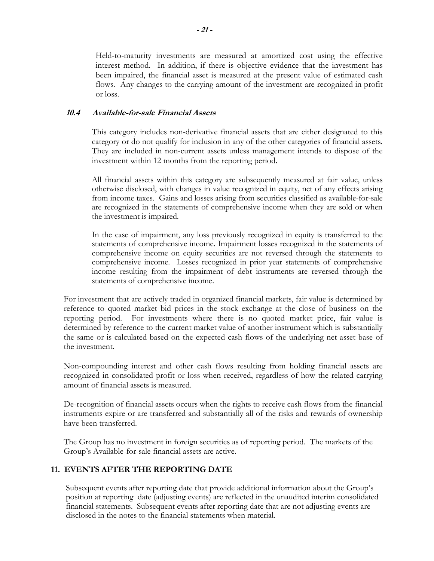Held-to-maturity investments are measured at amortized cost using the effective interest method. In addition, if there is objective evidence that the investment has been impaired, the financial asset is measured at the present value of estimated cash flows. Any changes to the carrying amount of the investment are recognized in profit or loss.

## **10.4 Available-for-sale Financial Assets**

This category includes non-derivative financial assets that are either designated to this category or do not qualify for inclusion in any of the other categories of financial assets. They are included in non-current assets unless management intends to dispose of the investment within 12 months from the reporting period.

 All financial assets within this category are subsequently measured at fair value, unless otherwise disclosed, with changes in value recognized in equity, net of any effects arising from income taxes. Gains and losses arising from securities classified as available-for-sale are recognized in the statements of comprehensive income when they are sold or when the investment is impaired.

 In the case of impairment, any loss previously recognized in equity is transferred to the statements of comprehensive income. Impairment losses recognized in the statements of comprehensive income on equity securities are not reversed through the statements to comprehensive income. Losses recognized in prior year statements of comprehensive income resulting from the impairment of debt instruments are reversed through the statements of comprehensive income.

For investment that are actively traded in organized financial markets, fair value is determined by reference to quoted market bid prices in the stock exchange at the close of business on the reporting period. For investments where there is no quoted market price, fair value is determined by reference to the current market value of another instrument which is substantially the same or is calculated based on the expected cash flows of the underlying net asset base of the investment.

Non-compounding interest and other cash flows resulting from holding financial assets are recognized in consolidated profit or loss when received, regardless of how the related carrying amount of financial assets is measured.

De-recognition of financial assets occurs when the rights to receive cash flows from the financial instruments expire or are transferred and substantially all of the risks and rewards of ownership have been transferred.

The Group has no investment in foreign securities as of reporting period. The markets of the Group's Available-for-sale financial assets are active.

# **11. EVENTS AFTER THE REPORTING DATE**

Subsequent events after reporting date that provide additional information about the Group's position at reporting date (adjusting events) are reflected in the unaudited interim consolidated financial statements. Subsequent events after reporting date that are not adjusting events are disclosed in the notes to the financial statements when material.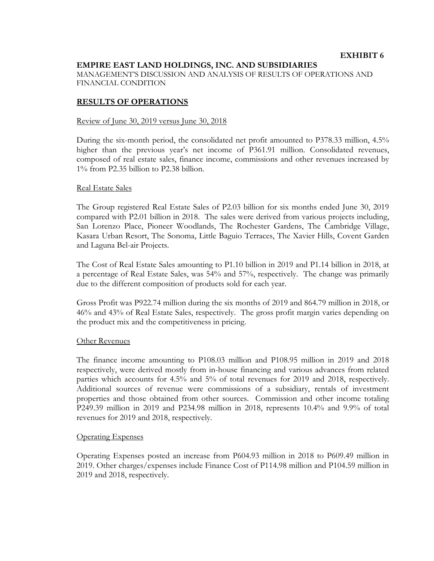## **EMPIRE EAST LAND HOLDINGS, INC. AND SUBSIDIARIES**

MANAGEMENT'S DISCUSSION AND ANALYSIS OF RESULTS OF OPERATIONS AND FINANCIAL CONDITION

### **RESULTS OF OPERATIONS**

#### Review of June 30, 2019 versus June 30, 2018

During the six-month period, the consolidated net profit amounted to P378.33 million, 4.5% higher than the previous year's net income of P361.91 million. Consolidated revenues, composed of real estate sales, finance income, commissions and other revenues increased by 1% from P2.35 billion to P2.38 billion.

#### Real Estate Sales

The Group registered Real Estate Sales of P2.03 billion for six months ended June 30, 2019 compared with P2.01 billion in 2018. The sales were derived from various projects including, San Lorenzo Place, Pioneer Woodlands, The Rochester Gardens, The Cambridge Village, Kasara Urban Resort, The Sonoma, Little Baguio Terraces, The Xavier Hills, Covent Garden and Laguna Bel-air Projects.

The Cost of Real Estate Sales amounting to P1.10 billion in 2019 and P1.14 billion in 2018, at a percentage of Real Estate Sales, was 54% and 57%, respectively. The change was primarily due to the different composition of products sold for each year.

Gross Profit was P922.74 million during the six months of 2019 and 864.79 million in 2018, or 46% and 43% of Real Estate Sales, respectively. The gross profit margin varies depending on the product mix and the competitiveness in pricing.

#### Other Revenues

The finance income amounting to P108.03 million and P108.95 million in 2019 and 2018 respectively, were derived mostly from in-house financing and various advances from related parties which accounts for 4.5% and 5% of total revenues for 2019 and 2018, respectively. Additional sources of revenue were commissions of a subsidiary, rentals of investment properties and those obtained from other sources. Commission and other income totaling P249.39 million in 2019 and P234.98 million in 2018, represents 10.4% and 9.9% of total revenues for 2019 and 2018, respectively.

#### Operating Expenses

Operating Expenses posted an increase from P604.93 million in 2018 to P609.49 million in 2019. Other charges/expenses include Finance Cost of P114.98 million and P104.59 million in 2019 and 2018, respectively.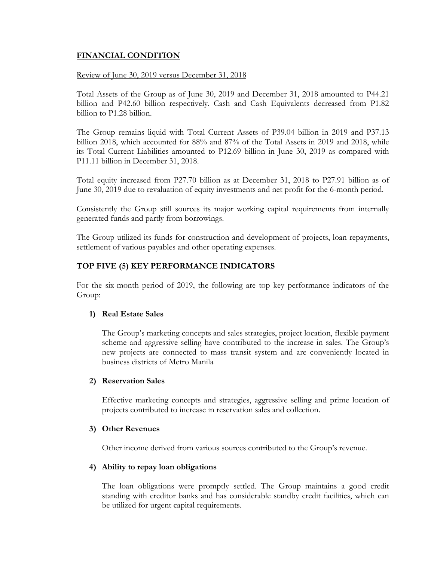# **FINANCIAL CONDITION**

### Review of June 30, 2019 versus December 31, 2018

Total Assets of the Group as of June 30, 2019 and December 31, 2018 amounted to P44.21 billion and P42.60 billion respectively. Cash and Cash Equivalents decreased from P1.82 billion to P1.28 billion.

The Group remains liquid with Total Current Assets of P39.04 billion in 2019 and P37.13 billion 2018, which accounted for 88% and 87% of the Total Assets in 2019 and 2018, while its Total Current Liabilities amounted to P12.69 billion in June 30, 2019 as compared with P11.11 billion in December 31, 2018.

Total equity increased from P27.70 billion as at December 31, 2018 to P27.91 billion as of June 30, 2019 due to revaluation of equity investments and net profit for the 6-month period.

Consistently the Group still sources its major working capital requirements from internally generated funds and partly from borrowings.

The Group utilized its funds for construction and development of projects, loan repayments, settlement of various payables and other operating expenses.

# **TOP FIVE (5) KEY PERFORMANCE INDICATORS**

For the six-month period of 2019, the following are top key performance indicators of the Group:

# **1) Real Estate Sales**

The Group's marketing concepts and sales strategies, project location, flexible payment scheme and aggressive selling have contributed to the increase in sales. The Group's new projects are connected to mass transit system and are conveniently located in business districts of Metro Manila

# **2) Reservation Sales**

Effective marketing concepts and strategies, aggressive selling and prime location of projects contributed to increase in reservation sales and collection.

# **3) Other Revenues**

Other income derived from various sources contributed to the Group's revenue.

# **4) Ability to repay loan obligations**

The loan obligations were promptly settled. The Group maintains a good credit standing with creditor banks and has considerable standby credit facilities, which can be utilized for urgent capital requirements.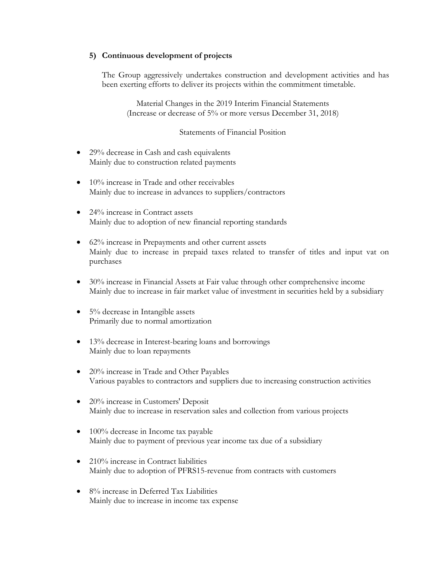# **5) Continuous development of projects**

The Group aggressively undertakes construction and development activities and has been exerting efforts to deliver its projects within the commitment timetable.

Material Changes in the 2019 Interim Financial Statements (Increase or decrease of 5% or more versus December 31, 2018)

# Statements of Financial Position

- 29% decrease in Cash and cash equivalents Mainly due to construction related payments
- 10% increase in Trade and other receivables Mainly due to increase in advances to suppliers/contractors
- 24% increase in Contract assets Mainly due to adoption of new financial reporting standards
- 62% increase in Prepayments and other current assets Mainly due to increase in prepaid taxes related to transfer of titles and input vat on purchases
- 30% increase in Financial Assets at Fair value through other comprehensive income Mainly due to increase in fair market value of investment in securities held by a subsidiary
- 5% decrease in Intangible assets Primarily due to normal amortization
- 13% decrease in Interest-bearing loans and borrowings Mainly due to loan repayments
- 20% increase in Trade and Other Payables Various payables to contractors and suppliers due to increasing construction activities
- 20% increase in Customers' Deposit Mainly due to increase in reservation sales and collection from various projects
- 100% decrease in Income tax payable Mainly due to payment of previous year income tax due of a subsidiary
- 210% increase in Contract liabilities Mainly due to adoption of PFRS15-revenue from contracts with customers
- 8% increase in Deferred Tax Liabilities Mainly due to increase in income tax expense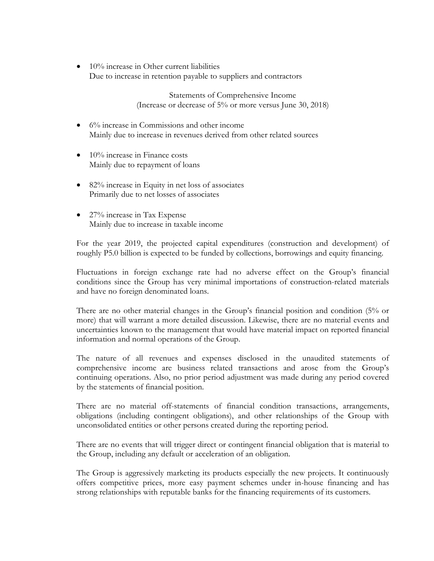$\bullet$  10% increase in Other current liabilities Due to increase in retention payable to suppliers and contractors

> Statements of Comprehensive Income (Increase or decrease of 5% or more versus June 30, 2018)

- 6% increase in Commissions and other income Mainly due to increase in revenues derived from other related sources
- $\bullet$  10% increase in Finance costs Mainly due to repayment of loans
- 82% increase in Equity in net loss of associates Primarily due to net losses of associates
- 27% increase in Tax Expense Mainly due to increase in taxable income

For the year 2019, the projected capital expenditures (construction and development) of roughly P5.0 billion is expected to be funded by collections, borrowings and equity financing.

Fluctuations in foreign exchange rate had no adverse effect on the Group's financial conditions since the Group has very minimal importations of construction-related materials and have no foreign denominated loans.

There are no other material changes in the Group's financial position and condition (5% or more) that will warrant a more detailed discussion. Likewise, there are no material events and uncertainties known to the management that would have material impact on reported financial information and normal operations of the Group.

The nature of all revenues and expenses disclosed in the unaudited statements of comprehensive income are business related transactions and arose from the Group's continuing operations. Also, no prior period adjustment was made during any period covered by the statements of financial position.

There are no material off-statements of financial condition transactions, arrangements, obligations (including contingent obligations), and other relationships of the Group with unconsolidated entities or other persons created during the reporting period.

There are no events that will trigger direct or contingent financial obligation that is material to the Group, including any default or acceleration of an obligation.

The Group is aggressively marketing its products especially the new projects. It continuously offers competitive prices, more easy payment schemes under in-house financing and has strong relationships with reputable banks for the financing requirements of its customers.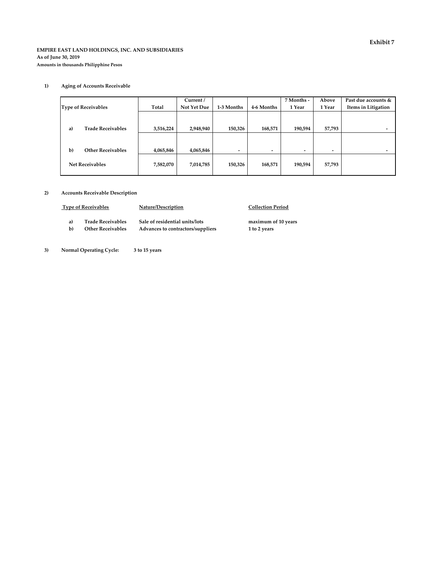#### **EMPIRE EAST LAND HOLDINGS, INC. AND SUBSIDIARIES As of June 30, 2019 Amounts in thousands Philipphine Pesos**

#### **1) Aging of Accounts Receivable**

|                                 |           | Current /   |                          |                          | 7 Months - | Above  | Past due accounts & |
|---------------------------------|-----------|-------------|--------------------------|--------------------------|------------|--------|---------------------|
| <b>Type of Receivables</b>      | Total     | Not Yet Due | 1-3 Months               | 4-6 Months               | 1 Year     | 1 Year | Items in Litigation |
|                                 |           |             |                          |                          |            |        |                     |
|                                 |           |             |                          |                          |            |        |                     |
| <b>Trade Receivables</b><br>a)  | 3,516,224 | 2,948,940   | 150,326                  | 168,571                  | 190,594    | 57,793 |                     |
|                                 |           |             |                          |                          |            |        |                     |
|                                 |           |             |                          |                          |            |        |                     |
| $b$<br><b>Other Receivables</b> | 4,065,846 | 4,065,846   | $\overline{\phantom{a}}$ | $\overline{\phantom{a}}$ | ۰          | -      |                     |
|                                 |           |             |                          |                          |            |        |                     |
| <b>Net Receivables</b>          | 7,582,070 | 7,014,785   | 150,326                  | 168,571                  | 190,594    | 57,793 |                     |
|                                 |           |             |                          |                          |            |        |                     |

#### **2) Accounts Receivable Description**

| <b>Type of Receivables</b> |                          | Nature/Description                | <b>Collection Period</b> |
|----------------------------|--------------------------|-----------------------------------|--------------------------|
| a)                         | <b>Trade Receivables</b> | Sale of residential units/lots    | maximum of 10 years      |
| b)                         | <b>Other Receivables</b> | Advances to contractors/suppliers | 1 to 2 years             |

 **3) Normal Operating Cycle: 3 to 15 years**